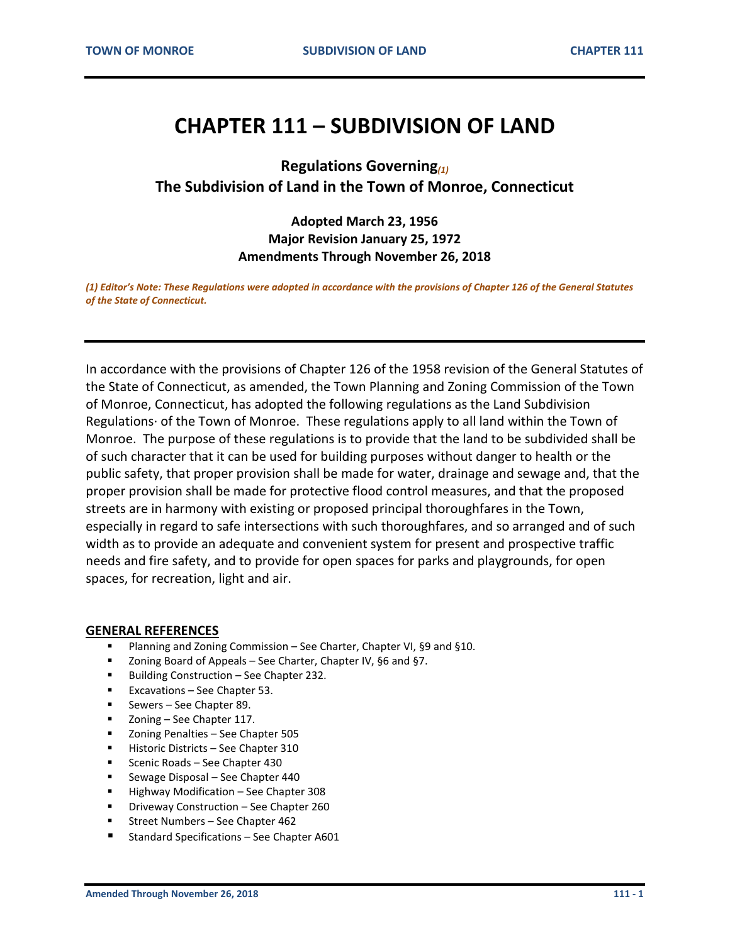## **CHAPTER 111 – SUBDIVISION OF LAND**

**Regulations Governing***(1)* **The Subdivision of Land in the Town of Monroe, Connecticut**

## **Adopted March 23, 1956 Major Revision January 25, 1972 Amendments Through November 26, 2018**

*(1) Editor's Note: These Regulations were adopted in accordance with the provisions of Chapter 126 of the General Statutes of the State of Connecticut.*

In accordance with the provisions of Chapter 126 of the 1958 revision of the General Statutes of the State of Connecticut, as amended, the Town Planning and Zoning Commission of the Town of Monroe, Connecticut, has adopted the following regulations as the Land Subdivision Regulations· of the Town of Monroe. These regulations apply to all land within the Town of Monroe. The purpose of these regulations is to provide that the land to be subdivided shall be of such character that it can be used for building purposes without danger to health or the public safety, that proper provision shall be made for water, drainage and sewage and, that the proper provision shall be made for protective flood control measures, and that the proposed streets are in harmony with existing or proposed principal thoroughfares in the Town, especially in regard to safe intersections with such thoroughfares, and so arranged and of such width as to provide an adequate and convenient system for present and prospective traffic needs and fire safety, and to provide for open spaces for parks and playgrounds, for open spaces, for recreation, light and air.

#### **GENERAL REFERENCES**

- Planning and Zoning Commission See Charter, Chapter VI, §9 and §10.
- Zoning Board of Appeals See Charter, Chapter IV, §6 and §7.
- Building Construction See Chapter 232.
- Excavations See Chapter 53.
- **Sewers See Chapter 89.**
- Zoning See Chapter 117.
- **EXECONING** Penalties See Chapter 505
- Historic Districts See Chapter 310
- Scenic Roads See Chapter 430
- **Sewage Disposal See Chapter 440**
- **Highway Modification See Chapter 308**
- **Driveway Construction See Chapter 260**
- Street Numbers See Chapter 462
- Standard Specifications See Chapter A601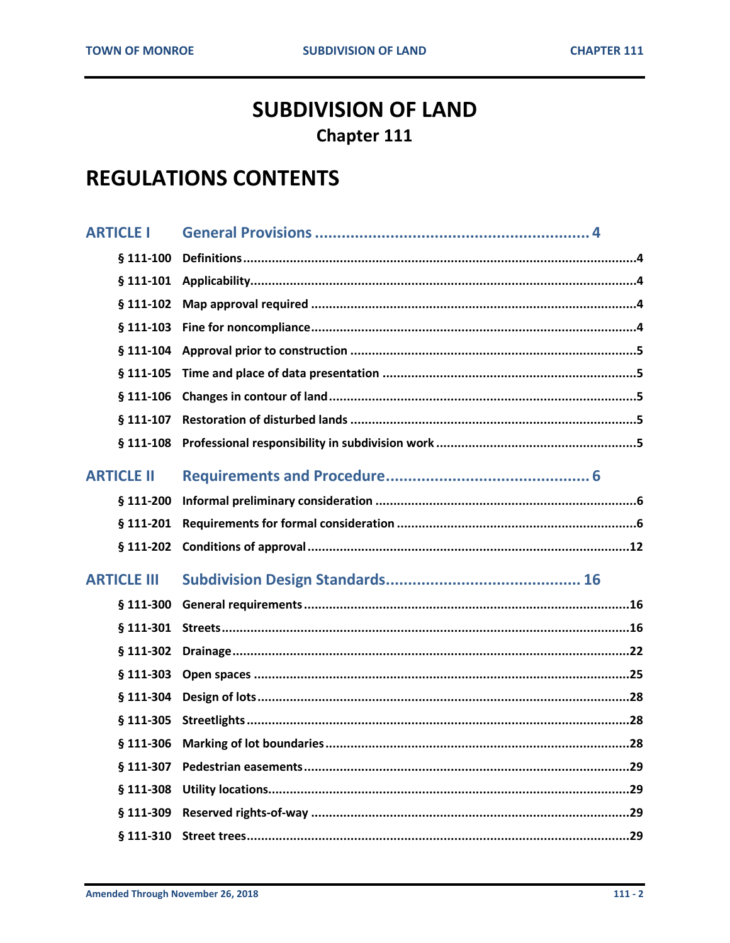# **SUBDIVISION OF LAND Chapter 111**

# **REGULATIONS CONTENTS**

| <b>ARTICLE I</b>   |  |
|--------------------|--|
| $§$ 111-100        |  |
| $§$ 111-101        |  |
| $§$ 111-102        |  |
| $§$ 111-103        |  |
| $§$ 111-104        |  |
| $§$ 111-105        |  |
| $§$ 111-106        |  |
| § 111-107          |  |
| $§ 111-108$        |  |
| <b>ARTICLE II</b>  |  |
| § 111-200          |  |
| § 111-201          |  |
|                    |  |
| $§ 111-202$        |  |
| <b>ARTICLE III</b> |  |
| $§$ 111-300        |  |
| $§$ 111-301        |  |
| $§$ 111-302        |  |
| $§$ 111-303        |  |
| § 111-304          |  |
| $§$ 111-305        |  |
|                    |  |
| § 111-307          |  |
| $§$ 111-308        |  |
| § 111-309          |  |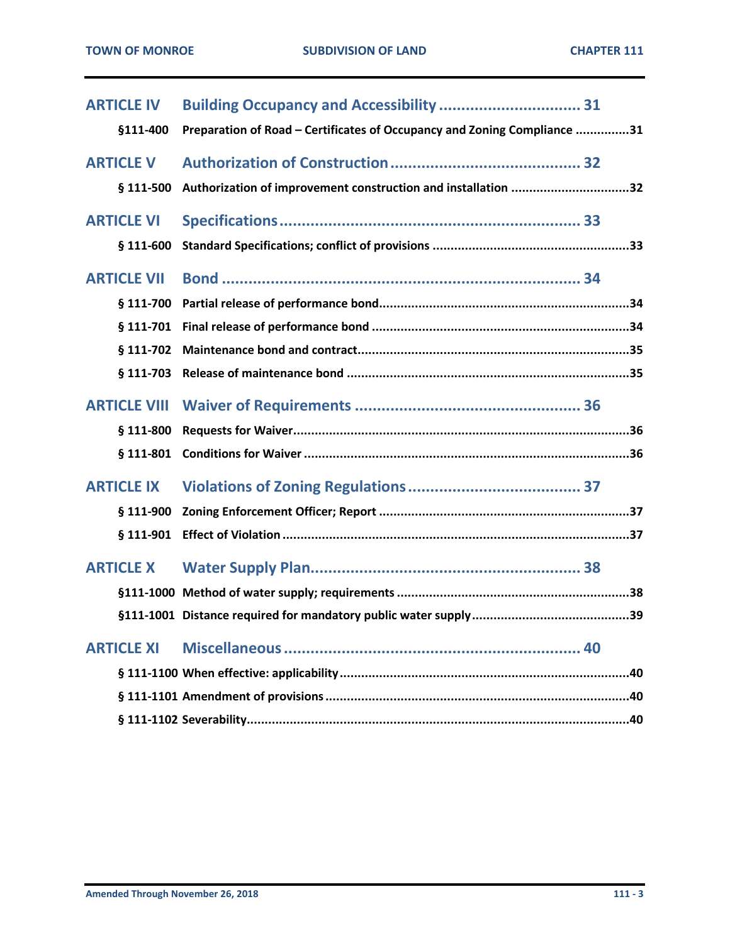| <b>ARTICLE IV</b>   |                                                                          |
|---------------------|--------------------------------------------------------------------------|
| §111-400            | Preparation of Road - Certificates of Occupancy and Zoning Compliance 31 |
| <b>ARTICLE V</b>    |                                                                          |
| § 111-500           | Authorization of improvement construction and installation 32            |
| <b>ARTICLE VI</b>   |                                                                          |
| $$111-600$          |                                                                          |
| <b>ARTICLE VII</b>  |                                                                          |
| § 111-700           |                                                                          |
| § 111-701           |                                                                          |
| § 111-702           |                                                                          |
| § 111-703           |                                                                          |
| <b>ARTICLE VIII</b> |                                                                          |
| § 111-800           |                                                                          |
| § 111-801           |                                                                          |
| <b>ARTICLE IX</b>   |                                                                          |
| $$111-900$          |                                                                          |
| $§$ 111-901         |                                                                          |
| <b>ARTICLE X</b>    |                                                                          |
|                     |                                                                          |
|                     |                                                                          |
| <b>ARTICLE XI</b>   |                                                                          |
|                     |                                                                          |
|                     |                                                                          |
|                     |                                                                          |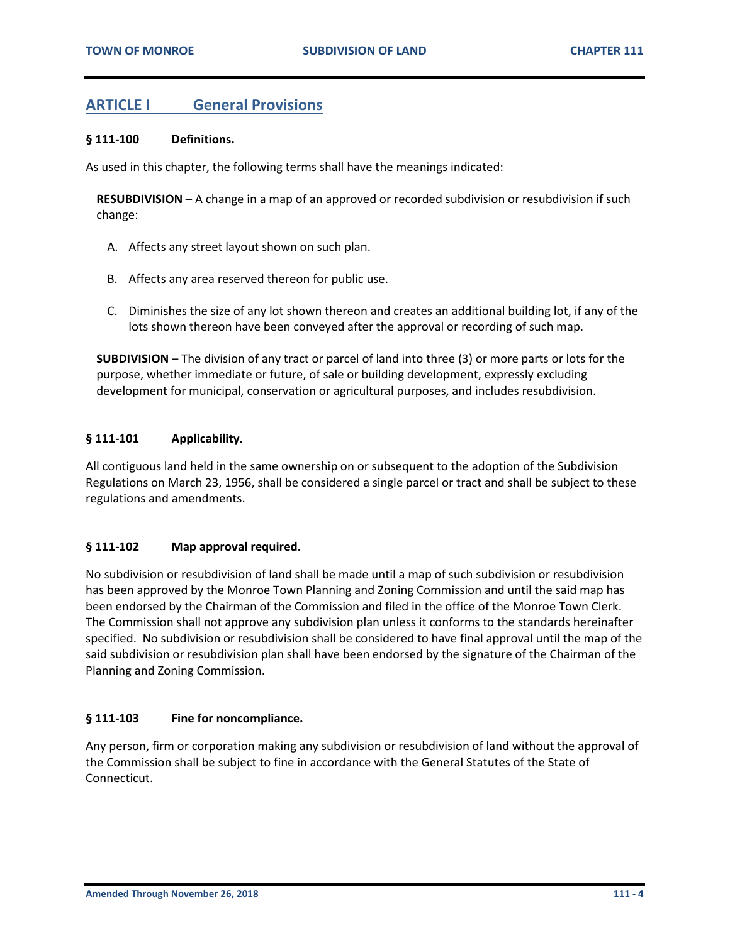## <span id="page-3-0"></span>**ARTICLE I General Provisions**

#### <span id="page-3-1"></span>**§ 111-100 Definitions.**

As used in this chapter, the following terms shall have the meanings indicated:

**RESUBDIVISION** – A change in a map of an approved or recorded subdivision or resubdivision if such change:

- A. Affects any street layout shown on such plan.
- B. Affects any area reserved thereon for public use.
- C. Diminishes the size of any lot shown thereon and creates an additional building lot, if any of the lots shown thereon have been conveyed after the approval or recording of such map.

**SUBDIVISION** – The division of any tract or parcel of land into three (3) or more parts or lots for the purpose, whether immediate or future, of sale or building development, expressly excluding development for municipal, conservation or agricultural purposes, and includes resubdivision.

#### <span id="page-3-2"></span>**§ 111-101 Applicability.**

All contiguous land held in the same ownership on or subsequent to the adoption of the Subdivision Regulations on March 23, 1956, shall be considered a single parcel or tract and shall be subject to these regulations and amendments.

#### <span id="page-3-3"></span>**§ 111-102 Map approval required.**

No subdivision or resubdivision of land shall be made until a map of such subdivision or resubdivision has been approved by the Monroe Town Planning and Zoning Commission and until the said map has been endorsed by the Chairman of the Commission and filed in the office of the Monroe Town Clerk. The Commission shall not approve any subdivision plan unless it conforms to the standards hereinafter specified. No subdivision or resubdivision shall be considered to have final approval until the map of the said subdivision or resubdivision plan shall have been endorsed by the signature of the Chairman of the Planning and Zoning Commission.

#### <span id="page-3-4"></span>**§ 111-103 Fine for noncompliance.**

Any person, firm or corporation making any subdivision or resubdivision of land without the approval of the Commission shall be subject to fine in accordance with the General Statutes of the State of Connecticut.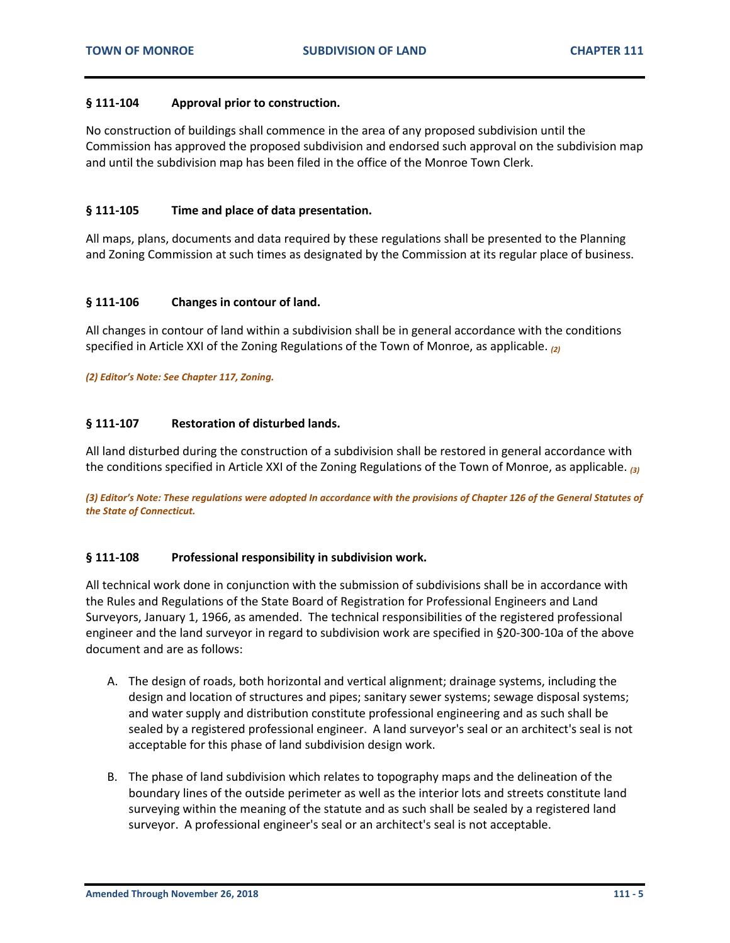#### <span id="page-4-0"></span>**§ 111-104 Approval prior to construction.**

No construction of buildings shall commence in the area of any proposed subdivision until the Commission has approved the proposed subdivision and endorsed such approval on the subdivision map and until the subdivision map has been filed in the office of the Monroe Town Clerk.

#### <span id="page-4-1"></span>**§ 111-105 Time and place of data presentation.**

All maps, plans, documents and data required by these regulations shall be presented to the Planning and Zoning Commission at such times as designated by the Commission at its regular place of business.

#### <span id="page-4-2"></span>**§ 111-106 Changes in contour of land.**

All changes in contour of land within a subdivision shall be in general accordance with the conditions specified in Article XXI of the Zoning Regulations of the Town of Monroe, as applicable. *(2)*

*(2) Editor's Note: See Chapter 117, Zoning.*

#### <span id="page-4-3"></span>**§ 111-107 Restoration of disturbed lands.**

All land disturbed during the construction of a subdivision shall be restored in general accordance with the conditions specified in Article XXI of the Zoning Regulations of the Town of Monroe, as applicable. *(3)*

*(3) Editor's Note: These regulations were adopted In accordance with the provisions of Chapter 126 of the General Statutes of the State of Connecticut.*

#### <span id="page-4-4"></span>**§ 111-108 Professional responsibility in subdivision work.**

All technical work done in conjunction with the submission of subdivisions shall be in accordance with the Rules and Regulations of the State Board of Registration for Professional Engineers and Land Surveyors, January 1, 1966, as amended. The technical responsibilities of the registered professional engineer and the land surveyor in regard to subdivision work are specified in §20-300-10a of the above document and are as follows:

- A. The design of roads, both horizontal and vertical alignment; drainage systems, including the design and location of structures and pipes; sanitary sewer systems; sewage disposal systems; and water supply and distribution constitute professional engineering and as such shall be sealed by a registered professional engineer. A land surveyor's seal or an architect's seal is not acceptable for this phase of land subdivision design work.
- B. The phase of land subdivision which relates to topography maps and the delineation of the boundary lines of the outside perimeter as well as the interior lots and streets constitute land surveying within the meaning of the statute and as such shall be sealed by a registered land surveyor. A professional engineer's seal or an architect's seal is not acceptable.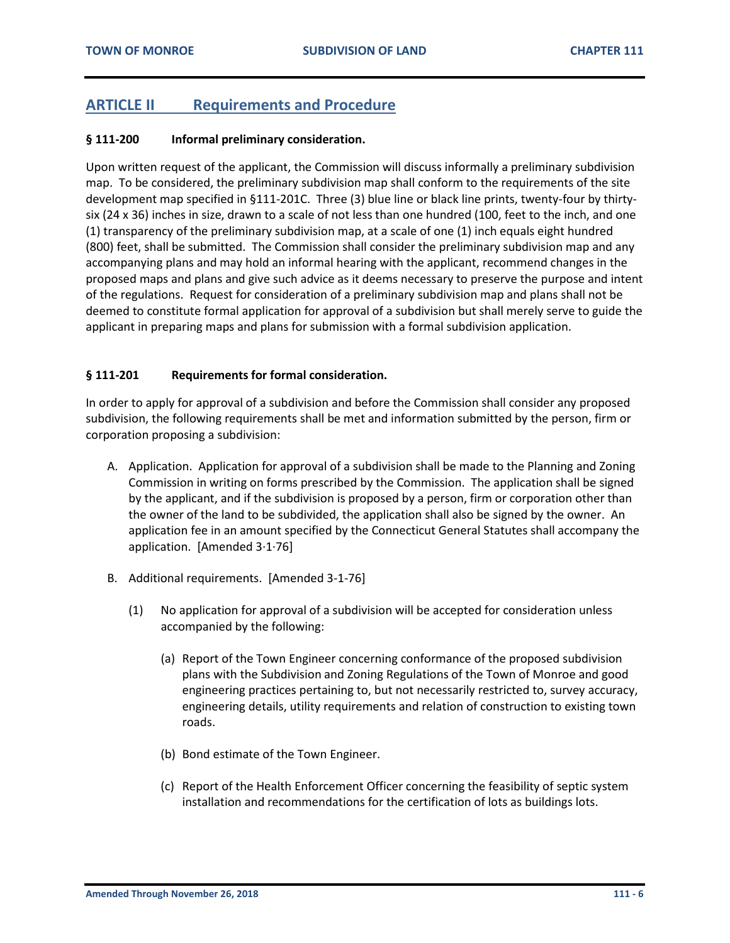## <span id="page-5-0"></span>**ARTICLE II Requirements and Procedure**

#### <span id="page-5-1"></span>**§ 111-200 Informal preliminary consideration.**

Upon written request of the applicant, the Commission will discuss informally a preliminary subdivision map. To be considered, the preliminary subdivision map shall conform to the requirements of the site development map specified in §111-201C. Three (3) blue line or black line prints, twenty-four by thirtysix (24 x 36) inches in size, drawn to a scale of not less than one hundred (100, feet to the inch, and one (1) transparency of the preliminary subdivision map, at a scale of one (1) inch equals eight hundred (800) feet, shall be submitted. The Commission shall consider the preliminary subdivision map and any accompanying plans and may hold an informal hearing with the applicant, recommend changes in the proposed maps and plans and give such advice as it deems necessary to preserve the purpose and intent of the regulations. Request for consideration of a preliminary subdivision map and plans shall not be deemed to constitute formal application for approval of a subdivision but shall merely serve to guide the applicant in preparing maps and plans for submission with a formal subdivision application.

#### <span id="page-5-2"></span>**§ 111-201 Requirements for formal consideration.**

In order to apply for approval of a subdivision and before the Commission shall consider any proposed subdivision, the following requirements shall be met and information submitted by the person, firm or corporation proposing a subdivision:

- A. Application. Application for approval of a subdivision shall be made to the Planning and Zoning Commission in writing on forms prescribed by the Commission. The application shall be signed by the applicant, and if the subdivision is proposed by a person, firm or corporation other than the owner of the land to be subdivided, the application shall also be signed by the owner. An application fee in an amount specified by the Connecticut General Statutes shall accompany the application. [Amended 3·1·76]
- B. Additional requirements. [Amended 3-1-76]
	- (1) No application for approval of a subdivision will be accepted for consideration unless accompanied by the following:
		- (a) Report of the Town Engineer concerning conformance of the proposed subdivision plans with the Subdivision and Zoning Regulations of the Town of Monroe and good engineering practices pertaining to, but not necessarily restricted to, survey accuracy, engineering details, utility requirements and relation of construction to existing town roads.
		- (b) Bond estimate of the Town Engineer.
		- (c) Report of the Health Enforcement Officer concerning the feasibility of septic system installation and recommendations for the certification of lots as buildings lots.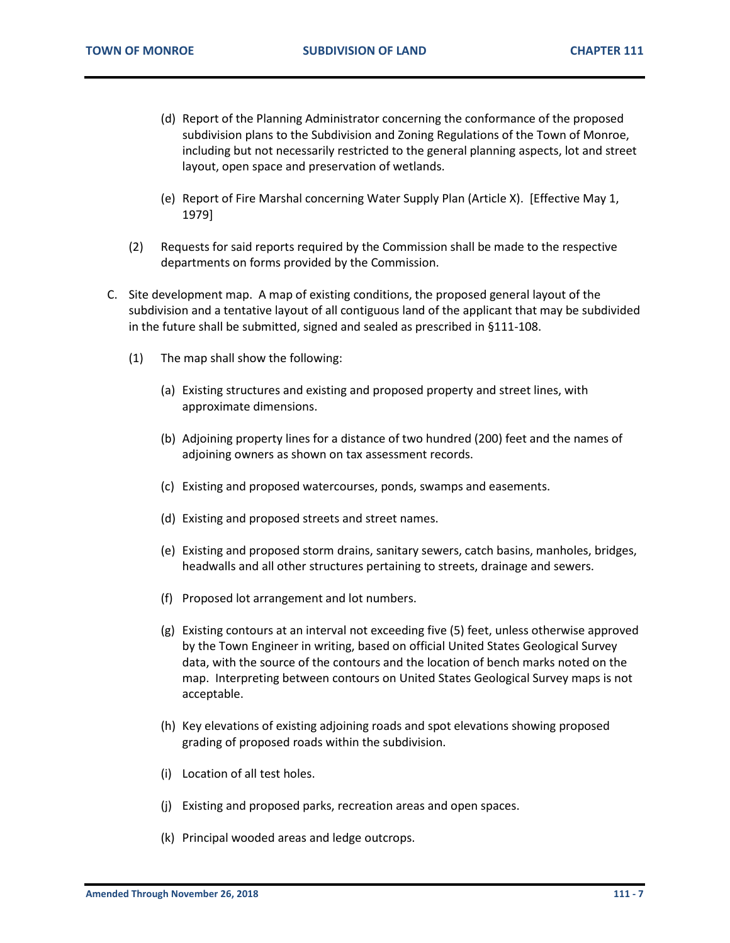- (d) Report of the Planning Administrator concerning the conformance of the proposed subdivision plans to the Subdivision and Zoning Regulations of the Town of Monroe, including but not necessarily restricted to the general planning aspects, lot and street layout, open space and preservation of wetlands.
- (e) Report of Fire Marshal concerning Water Supply Plan (Article X). [Effective May 1, 1979]
- (2) Requests for said reports required by the Commission shall be made to the respective departments on forms provided by the Commission.
- C. Site development map. A map of existing conditions, the proposed general layout of the subdivision and a tentative layout of all contiguous land of the applicant that may be subdivided in the future shall be submitted, signed and sealed as prescribed in §111-108.
	- (1) The map shall show the following:
		- (a) Existing structures and existing and proposed property and street lines, with approximate dimensions.
		- (b) Adjoining property lines for a distance of two hundred (200) feet and the names of adjoining owners as shown on tax assessment records.
		- (c) Existing and proposed watercourses, ponds, swamps and easements.
		- (d) Existing and proposed streets and street names.
		- (e) Existing and proposed storm drains, sanitary sewers, catch basins, manholes, bridges, headwalls and all other structures pertaining to streets, drainage and sewers.
		- (f) Proposed lot arrangement and lot numbers.
		- (g) Existing contours at an interval not exceeding five (5) feet, unless otherwise approved by the Town Engineer in writing, based on official United States Geological Survey data, with the source of the contours and the location of bench marks noted on the map. Interpreting between contours on United States Geological Survey maps is not acceptable.
		- (h) Key elevations of existing adjoining roads and spot elevations showing proposed grading of proposed roads within the subdivision.
		- (i) Location of all test holes.
		- (j) Existing and proposed parks, recreation areas and open spaces.
		- (k) Principal wooded areas and ledge outcrops.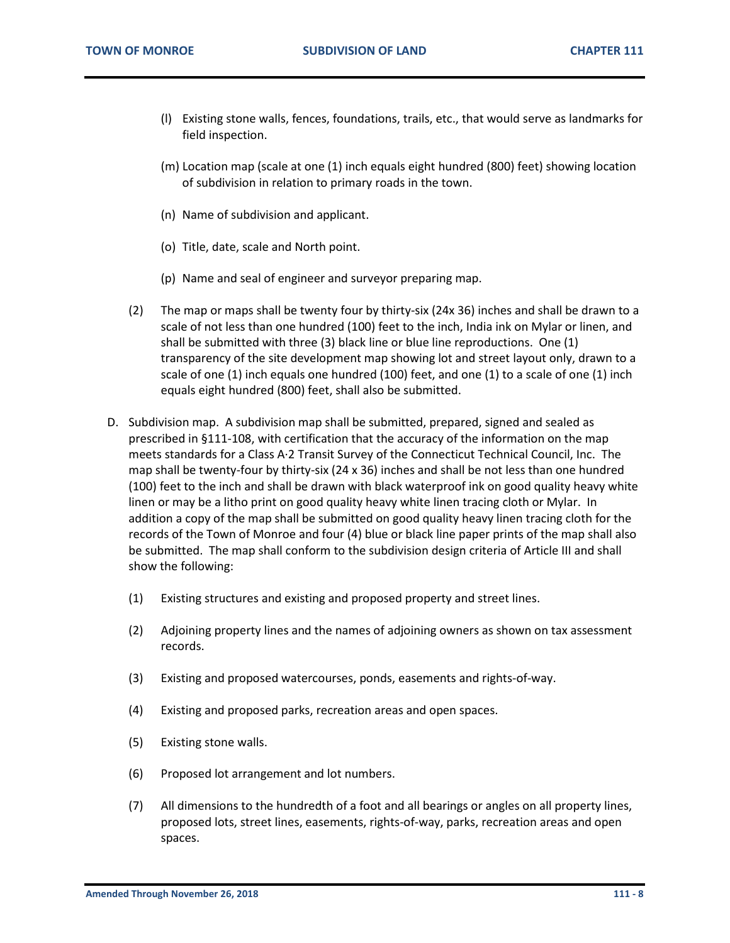- (l) Existing stone walls, fences, foundations, trails, etc., that would serve as landmarks for field inspection.
- (m) Location map (scale at one (1) inch equals eight hundred (800) feet) showing location of subdivision in relation to primary roads in the town.
- (n) Name of subdivision and applicant.
- (o) Title, date, scale and North point.
- (p) Name and seal of engineer and surveyor preparing map.
- (2) The map or maps shall be twenty four by thirty-six (24x 36) inches and shall be drawn to a scale of not less than one hundred (100) feet to the inch, India ink on Mylar or linen, and shall be submitted with three (3) black line or blue line reproductions. One (1) transparency of the site development map showing lot and street layout only, drawn to a scale of one (1) inch equals one hundred (100) feet, and one (1) to a scale of one (1) inch equals eight hundred (800) feet, shall also be submitted.
- D. Subdivision map. A subdivision map shall be submitted, prepared, signed and sealed as prescribed in §111-108, with certification that the accuracy of the information on the map meets standards for a Class A·2 Transit Survey of the Connecticut Technical Council, Inc. The map shall be twenty-four by thirty-six (24 x 36) inches and shall be not less than one hundred (100) feet to the inch and shall be drawn with black waterproof ink on good quality heavy white linen or may be a litho print on good quality heavy white linen tracing cloth or Mylar. In addition a copy of the map shall be submitted on good quality heavy linen tracing cloth for the records of the Town of Monroe and four (4) blue or black line paper prints of the map shall also be submitted. The map shall conform to the subdivision design criteria of Article III and shall show the following:
	- (1) Existing structures and existing and proposed property and street lines.
	- (2) Adjoining property lines and the names of adjoining owners as shown on tax assessment records.
	- (3) Existing and proposed watercourses, ponds, easements and rights-of-way.
	- (4) Existing and proposed parks, recreation areas and open spaces.
	- (5) Existing stone walls.
	- (6) Proposed lot arrangement and lot numbers.
	- (7) All dimensions to the hundredth of a foot and all bearings or angles on all property lines, proposed lots, street lines, easements, rights-of-way, parks, recreation areas and open spaces.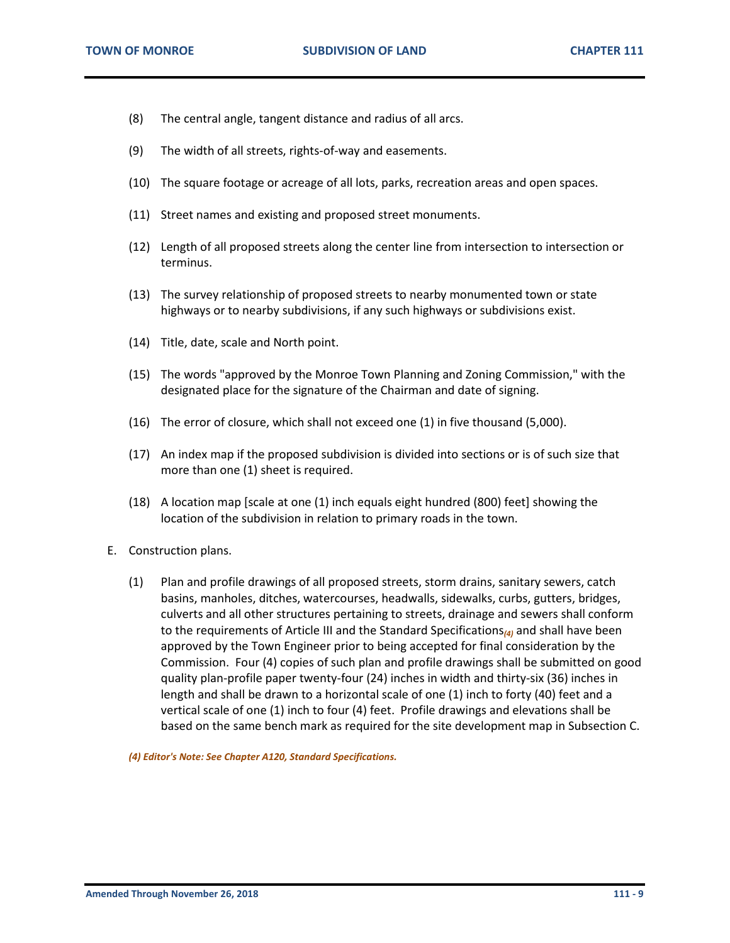- (8) The central angle, tangent distance and radius of all arcs.
- (9) The width of all streets, rights-of-way and easements.
- (10) The square footage or acreage of all lots, parks, recreation areas and open spaces.
- (11) Street names and existing and proposed street monuments.
- (12) Length of all proposed streets along the center line from intersection to intersection or terminus.
- (13) The survey relationship of proposed streets to nearby monumented town or state highways or to nearby subdivisions, if any such highways or subdivisions exist.
- (14) Title, date, scale and North point.
- (15) The words "approved by the Monroe Town Planning and Zoning Commission," with the designated place for the signature of the Chairman and date of signing.
- (16) The error of closure, which shall not exceed one (1) in five thousand (5,000).
- (17) An index map if the proposed subdivision is divided into sections or is of such size that more than one (1) sheet is required.
- (18) A location map [scale at one (1) inch equals eight hundred (800) feet] showing the location of the subdivision in relation to primary roads in the town.
- E. Construction plans.
	- (1) Plan and profile drawings of all proposed streets, storm drains, sanitary sewers, catch basins, manholes, ditches, watercourses, headwalls, sidewalks, curbs, gutters, bridges, culverts and all other structures pertaining to streets, drainage and sewers shall conform to the requirements of Article III and the Standard Specifications*(4)* and shall have been approved by the Town Engineer prior to being accepted for final consideration by the Commission. Four (4) copies of such plan and profile drawings shall be submitted on good quality plan-profile paper twenty-four (24) inches in width and thirty-six (36) inches in length and shall be drawn to a horizontal scale of one (1) inch to forty (40) feet and a vertical scale of one (1) inch to four (4) feet. Profile drawings and elevations shall be based on the same bench mark as required for the site development map in Subsection C.

*(4) Editor's Note: See Chapter A120, Standard Specifications.*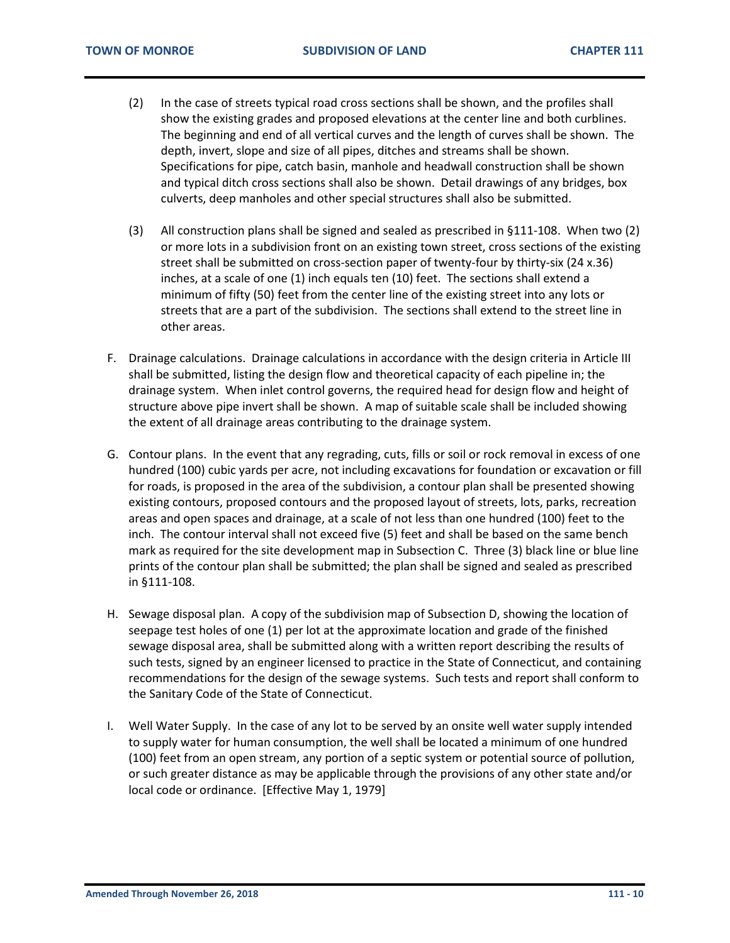- (2) In the case of streets typical road cross sections shall be shown, and the profiles shall show the existing grades and proposed elevations at the center line and both curblines. The beginning and end of all vertical curves and the length of curves shall be shown. The depth, invert, slope and size of all pipes, ditches and streams shall be shown. Specifications for pipe, catch basin, manhole and headwall construction shall be shown and typical ditch cross sections shall also be shown. Detail drawings of any bridges, box culverts, deep manholes and other special structures shall also be submitted.
- (3) All construction plans shall be signed and sealed as prescribed in §111-108. When two (2) or more lots in a subdivision front on an existing town street, cross sections of the existing street shall be submitted on cross-section paper of twenty-four by thirty-six (24 x.36) inches, at a scale of one (1) inch equals ten (10) feet. The sections shall extend a minimum of fifty (50) feet from the center line of the existing street into any lots or streets that are a part of the subdivision. The sections shall extend to the street line in other areas.
- F. Drainage calculations. Drainage calculations in accordance with the design criteria in Article III shall be submitted, listing the design flow and theoretical capacity of each pipeline in; the drainage system. When inlet control governs, the required head for design flow and height of structure above pipe invert shall be shown. A map of suitable scale shall be included showing the extent of all drainage areas contributing to the drainage system.
- G. Contour plans. In the event that any regrading, cuts, fills or soil or rock removal in excess of one hundred (100) cubic yards per acre, not including excavations for foundation or excavation or fill for roads, is proposed in the area of the subdivision, a contour plan shall be presented showing existing contours, proposed contours and the proposed layout of streets, lots, parks, recreation areas and open spaces and drainage, at a scale of not less than one hundred (100) feet to the inch. The contour interval shall not exceed five (5) feet and shall be based on the same bench mark as required for the site development map in Subsection C. Three (3) black line or blue line prints of the contour plan shall be submitted; the plan shall be signed and sealed as prescribed in §111-108.
- H. Sewage disposal plan. A copy of the subdivision map of Subsection D, showing the location of seepage test holes of one (1) per lot at the approximate location and grade of the finished sewage disposal area, shall be submitted along with a written report describing the results of such tests, signed by an engineer licensed to practice in the State of Connecticut, and containing recommendations for the design of the sewage systems. Such tests and report shall conform to the Sanitary Code of the State of Connecticut.
- I. Well Water Supply. In the case of any lot to be served by an onsite well water supply intended to supply water for human consumption, the well shall be located a minimum of one hundred (100) feet from an open stream, any portion of a septic system or potential source of pollution, or such greater distance as may be applicable through the provisions of any other state and/or local code or ordinance. [Effective May 1, 1979]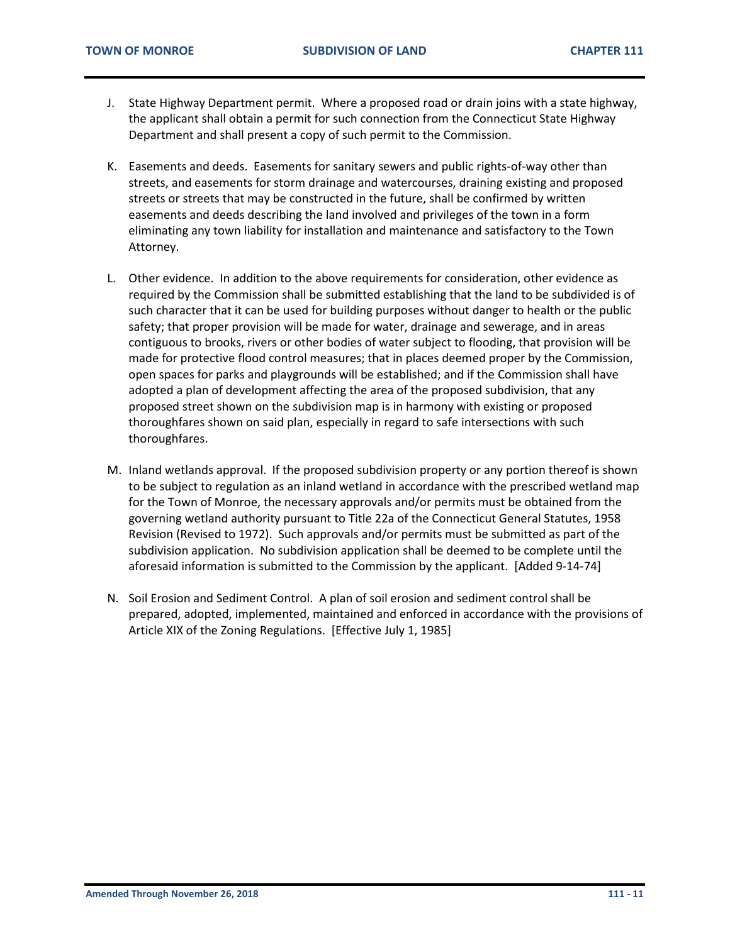- J. State Highway Department permit. Where a proposed road or drain joins with a state highway, the applicant shall obtain a permit for such connection from the Connecticut State Highway Department and shall present a copy of such permit to the Commission.
- K. Easements and deeds. Easements for sanitary sewers and public rights-of-way other than streets, and easements for storm drainage and watercourses, draining existing and proposed streets or streets that may be constructed in the future, shall be confirmed by written easements and deeds describing the land involved and privileges of the town in a form eliminating any town liability for installation and maintenance and satisfactory to the Town Attorney.
- L. Other evidence. In addition to the above requirements for consideration, other evidence as required by the Commission shall be submitted establishing that the land to be subdivided is of such character that it can be used for building purposes without danger to health or the public safety; that proper provision will be made for water, drainage and sewerage, and in areas contiguous to brooks, rivers or other bodies of water subject to flooding, that provision will be made for protective flood control measures; that in places deemed proper by the Commission, open spaces for parks and playgrounds will be established; and if the Commission shall have adopted a plan of development affecting the area of the proposed subdivision, that any proposed street shown on the subdivision map is in harmony with existing or proposed thoroughfares shown on said plan, especially in regard to safe intersections with such thoroughfares.
- M. Inland wetlands approval. If the proposed subdivision property or any portion thereof is shown to be subject to regulation as an inland wetland in accordance with the prescribed wetland map for the Town of Monroe, the necessary approvals and/or permits must be obtained from the governing wetland authority pursuant to Title 22a of the Connecticut General Statutes, 1958 Revision (Revised to 1972). Such approvals and/or permits must be submitted as part of the subdivision application. No subdivision application shall be deemed to be complete until the aforesaid information is submitted to the Commission by the applicant. [Added 9-14-74]
- N. Soil Erosion and Sediment Control. A plan of soil erosion and sediment control shall be prepared, adopted, implemented, maintained and enforced in accordance with the provisions of Article XIX of the Zoning Regulations. [Effective July 1, 1985]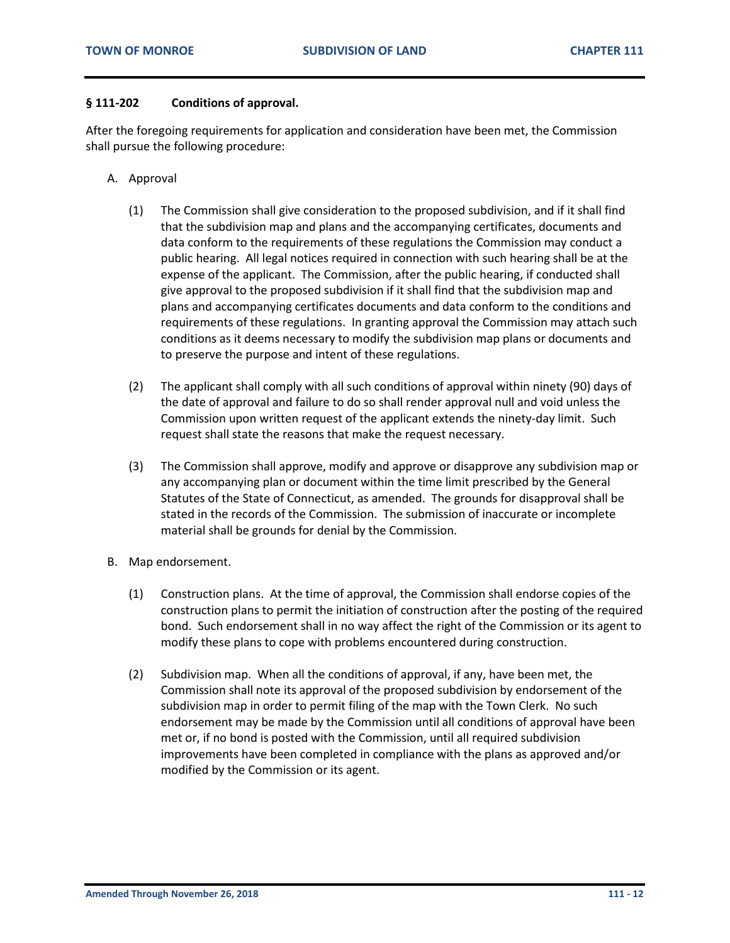#### <span id="page-11-0"></span>**§ 111-202 Conditions of approval.**

After the foregoing requirements for application and consideration have been met, the Commission shall pursue the following procedure:

- A. Approval
	- (1) The Commission shall give consideration to the proposed subdivision, and if it shall find that the subdivision map and plans and the accompanying certificates, documents and data conform to the requirements of these regulations the Commission may conduct a public hearing. All legal notices required in connection with such hearing shall be at the expense of the applicant. The Commission, after the public hearing, if conducted shall give approval to the proposed subdivision if it shall find that the subdivision map and plans and accompanying certificates documents and data conform to the conditions and requirements of these regulations. In granting approval the Commission may attach such conditions as it deems necessary to modify the subdivision map plans or documents and to preserve the purpose and intent of these regulations.
	- (2) The applicant shall comply with all such conditions of approval within ninety (90) days of the date of approval and failure to do so shall render approval null and void unless the Commission upon written request of the applicant extends the ninety-day limit. Such request shall state the reasons that make the request necessary.
	- (3) The Commission shall approve, modify and approve or disapprove any subdivision map or any accompanying plan or document within the time limit prescribed by the General Statutes of the State of Connecticut, as amended. The grounds for disapproval shall be stated in the records of the Commission. The submission of inaccurate or incomplete material shall be grounds for denial by the Commission.
- B. Map endorsement.
	- (1) Construction plans. At the time of approval, the Commission shall endorse copies of the construction plans to permit the initiation of construction after the posting of the required bond. Such endorsement shall in no way affect the right of the Commission or its agent to modify these plans to cope with problems encountered during construction.
	- (2) Subdivision map. When all the conditions of approval, if any, have been met, the Commission shall note its approval of the proposed subdivision by endorsement of the subdivision map in order to permit filing of the map with the Town Clerk. No such endorsement may be made by the Commission until all conditions of approval have been met or, if no bond is posted with the Commission, until all required subdivision improvements have been completed in compliance with the plans as approved and/or modified by the Commission or its agent.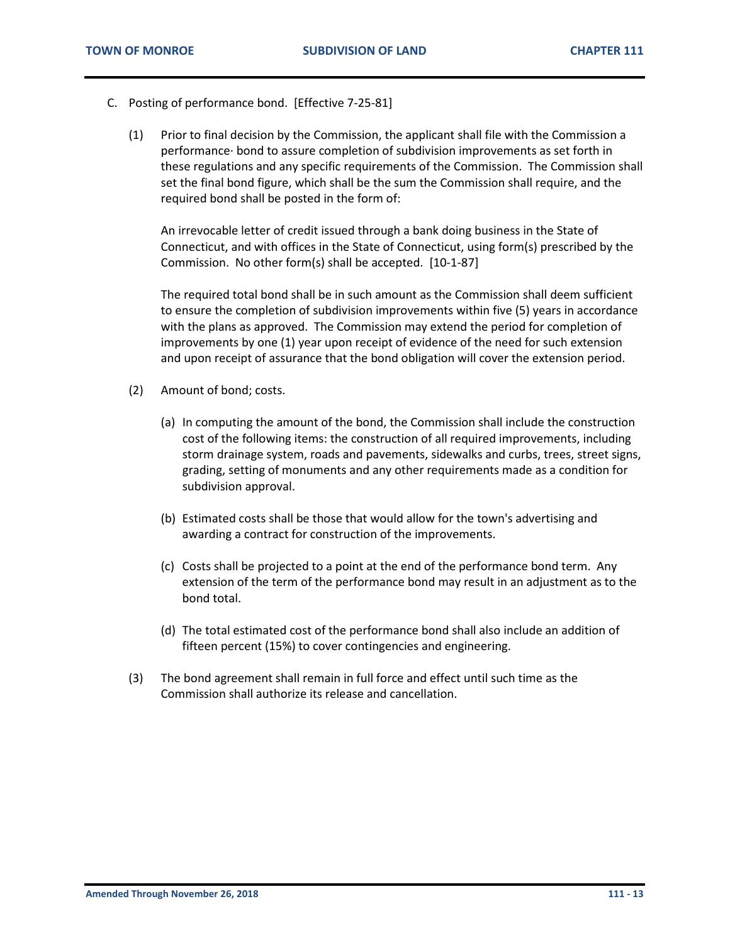- C. Posting of performance bond. [Effective 7-25-81]
	- (1) Prior to final decision by the Commission, the applicant shall file with the Commission a performance· bond to assure completion of subdivision improvements as set forth in these regulations and any specific requirements of the Commission. The Commission shall set the final bond figure, which shall be the sum the Commission shall require, and the required bond shall be posted in the form of:

An irrevocable letter of credit issued through a bank doing business in the State of Connecticut, and with offices in the State of Connecticut, using form(s) prescribed by the Commission. No other form(s) shall be accepted. [10-1-87]

The required total bond shall be in such amount as the Commission shall deem sufficient to ensure the completion of subdivision improvements within five (5) years in accordance with the plans as approved. The Commission may extend the period for completion of improvements by one (1) year upon receipt of evidence of the need for such extension and upon receipt of assurance that the bond obligation will cover the extension period.

- (2) Amount of bond; costs.
	- (a) In computing the amount of the bond, the Commission shall include the construction cost of the following items: the construction of all required improvements, including storm drainage system, roads and pavements, sidewalks and curbs, trees, street signs, grading, setting of monuments and any other requirements made as a condition for subdivision approval.
	- (b) Estimated costs shall be those that would allow for the town's advertising and awarding a contract for construction of the improvements.
	- (c) Costs shall be projected to a point at the end of the performance bond term. Any extension of the term of the performance bond may result in an adjustment as to the bond total.
	- (d) The total estimated cost of the performance bond shall also include an addition of fifteen percent (15%) to cover contingencies and engineering.
- (3) The bond agreement shall remain in full force and effect until such time as the Commission shall authorize its release and cancellation.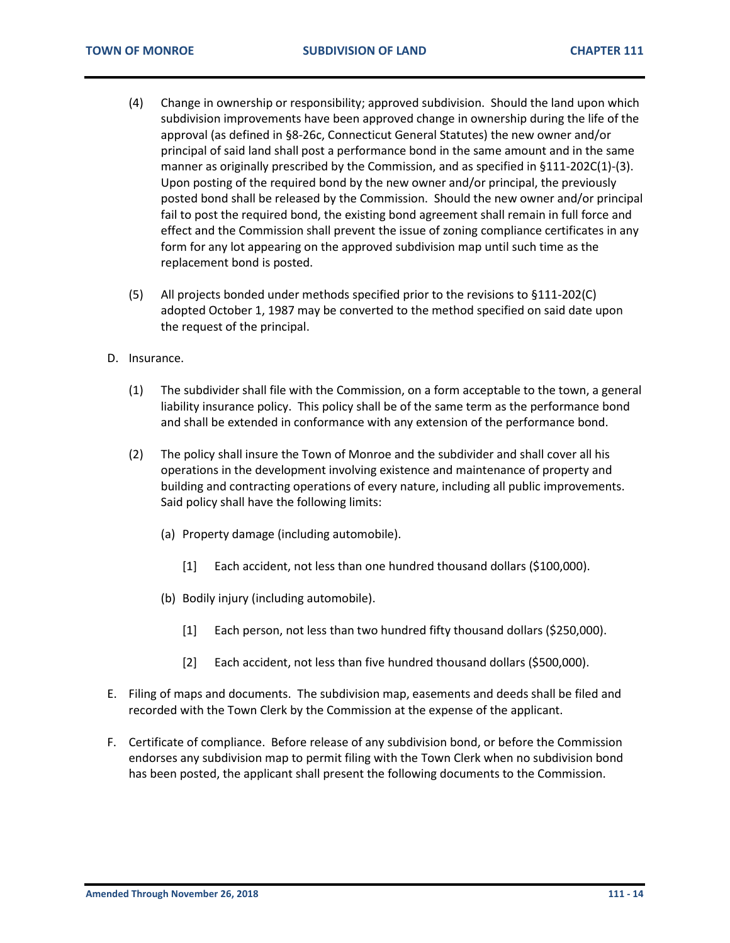- (4) Change in ownership or responsibility; approved subdivision. Should the land upon which subdivision improvements have been approved change in ownership during the life of the approval (as defined in §8-26c, Connecticut General Statutes) the new owner and/or principal of said land shall post a performance bond in the same amount and in the same manner as originally prescribed by the Commission, and as specified in §111-202C(1)-(3). Upon posting of the required bond by the new owner and/or principal, the previously posted bond shall be released by the Commission. Should the new owner and/or principal fail to post the required bond, the existing bond agreement shall remain in full force and effect and the Commission shall prevent the issue of zoning compliance certificates in any form for any lot appearing on the approved subdivision map until such time as the replacement bond is posted.
- (5) All projects bonded under methods specified prior to the revisions to §111-202(C) adopted October 1, 1987 may be converted to the method specified on said date upon the request of the principal.
- D. Insurance.
	- (1) The subdivider shall file with the Commission, on a form acceptable to the town, a general liability insurance policy. This policy shall be of the same term as the performance bond and shall be extended in conformance with any extension of the performance bond.
	- (2) The policy shall insure the Town of Monroe and the subdivider and shall cover all his operations in the development involving existence and maintenance of property and building and contracting operations of every nature, including all public improvements. Said policy shall have the following limits:
		- (a) Property damage (including automobile).
			- [1] Each accident, not less than one hundred thousand dollars (\$100,000).
		- (b) Bodily injury (including automobile).
			- [1] Each person, not less than two hundred fifty thousand dollars (\$250,000).
			- [2] Each accident, not less than five hundred thousand dollars (\$500,000).
- E. Filing of maps and documents. The subdivision map, easements and deeds shall be filed and recorded with the Town Clerk by the Commission at the expense of the applicant.
- F. Certificate of compliance. Before release of any subdivision bond, or before the Commission endorses any subdivision map to permit filing with the Town Clerk when no subdivision bond has been posted, the applicant shall present the following documents to the Commission.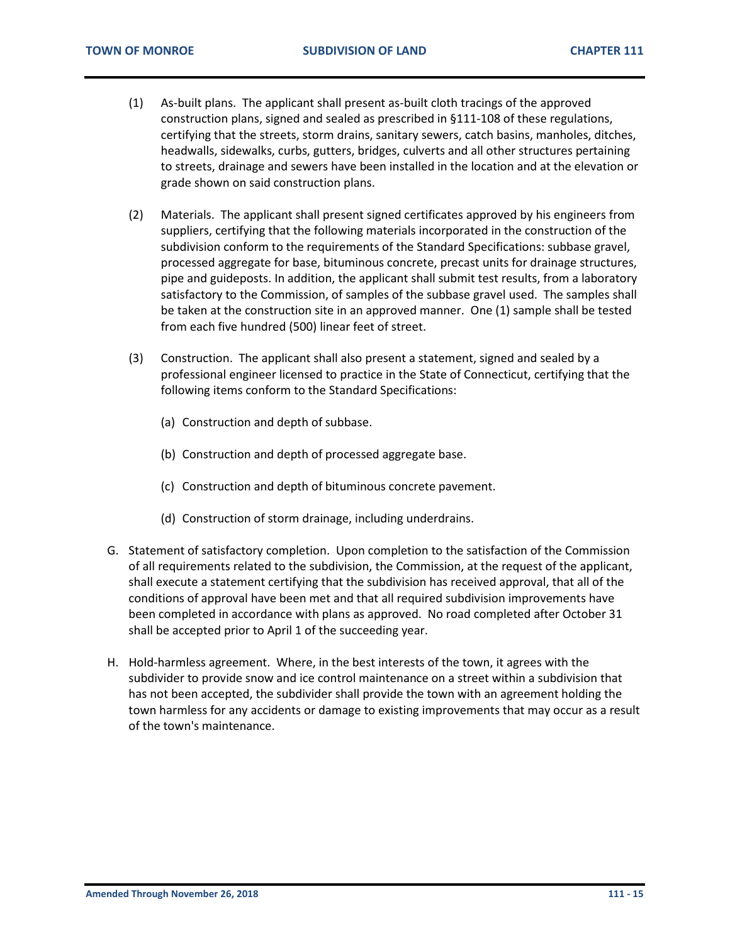- (1) As-built plans. The applicant shall present as-built cloth tracings of the approved construction plans, signed and sealed as prescribed in §111-108 of these regulations, certifying that the streets, storm drains, sanitary sewers, catch basins, manholes, ditches, headwalls, sidewalks, curbs, gutters, bridges, culverts and all other structures pertaining to streets, drainage and sewers have been installed in the location and at the elevation or grade shown on said construction plans.
- (2) Materials. The applicant shall present signed certificates approved by his engineers from suppliers, certifying that the following materials incorporated in the construction of the subdivision conform to the requirements of the Standard Specifications: subbase gravel, processed aggregate for base, bituminous concrete, precast units for drainage structures, pipe and guideposts. In addition, the applicant shall submit test results, from a laboratory satisfactory to the Commission, of samples of the subbase gravel used. The samples shall be taken at the construction site in an approved manner. One (1) sample shall be tested from each five hundred (500) linear feet of street.
- (3) Construction. The applicant shall also present a statement, signed and sealed by a professional engineer licensed to practice in the State of Connecticut, certifying that the following items conform to the Standard Specifications:
	- (a) Construction and depth of subbase.
	- (b) Construction and depth of processed aggregate base.
	- (c) Construction and depth of bituminous concrete pavement.
	- (d) Construction of storm drainage, including underdrains.
- G. Statement of satisfactory completion. Upon completion to the satisfaction of the Commission of all requirements related to the subdivision, the Commission, at the request of the applicant, shall execute a statement certifying that the subdivision has received approval, that all of the conditions of approval have been met and that all required subdivision improvements have been completed in accordance with plans as approved. No road completed after October 31 shall be accepted prior to April 1 of the succeeding year.
- H. Hold-harmless agreement. Where, in the best interests of the town, it agrees with the subdivider to provide snow and ice control maintenance on a street within a subdivision that has not been accepted, the subdivider shall provide the town with an agreement holding the town harmless for any accidents or damage to existing improvements that may occur as a result of the town's maintenance.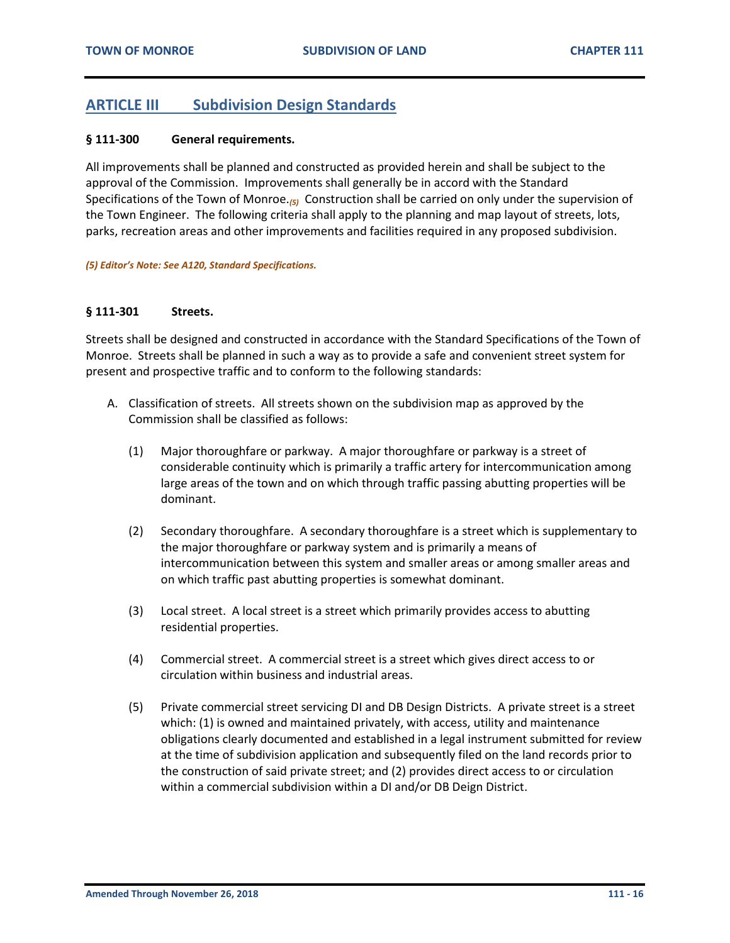## <span id="page-15-0"></span>**ARTICLE III Subdivision Design Standards**

#### <span id="page-15-1"></span>**§ 111-300 General requirements.**

All improvements shall be planned and constructed as provided herein and shall be subject to the approval of the Commission. Improvements shall generally be in accord with the Standard Specifications of the Town of Monroe.*(5)* Construction shall be carried on only under the supervision of the Town Engineer. The following criteria shall apply to the planning and map layout of streets, lots, parks, recreation areas and other improvements and facilities required in any proposed subdivision.

*(5) Editor's Note: See A120, Standard Specifications.*

#### <span id="page-15-2"></span>**§ 111-301 Streets.**

Streets shall be designed and constructed in accordance with the Standard Specifications of the Town of Monroe. Streets shall be planned in such a way as to provide a safe and convenient street system for present and prospective traffic and to conform to the following standards:

- A. Classification of streets. All streets shown on the subdivision map as approved by the Commission shall be classified as follows:
	- (1) Major thoroughfare or parkway. A major thoroughfare or parkway is a street of considerable continuity which is primarily a traffic artery for intercommunication among large areas of the town and on which through traffic passing abutting properties will be dominant.
	- (2) Secondary thoroughfare. A secondary thoroughfare is a street which is supplementary to the major thoroughfare or parkway system and is primarily a means of intercommunication between this system and smaller areas or among smaller areas and on which traffic past abutting properties is somewhat dominant.
	- (3) Local street. A local street is a street which primarily provides access to abutting residential properties.
	- (4) Commercial street. A commercial street is a street which gives direct access to or circulation within business and industrial areas.
	- (5) Private commercial street servicing DI and DB Design Districts. A private street is a street which: (1) is owned and maintained privately, with access, utility and maintenance obligations clearly documented and established in a legal instrument submitted for review at the time of subdivision application and subsequently filed on the land records prior to the construction of said private street; and (2) provides direct access to or circulation within a commercial subdivision within a DI and/or DB Deign District.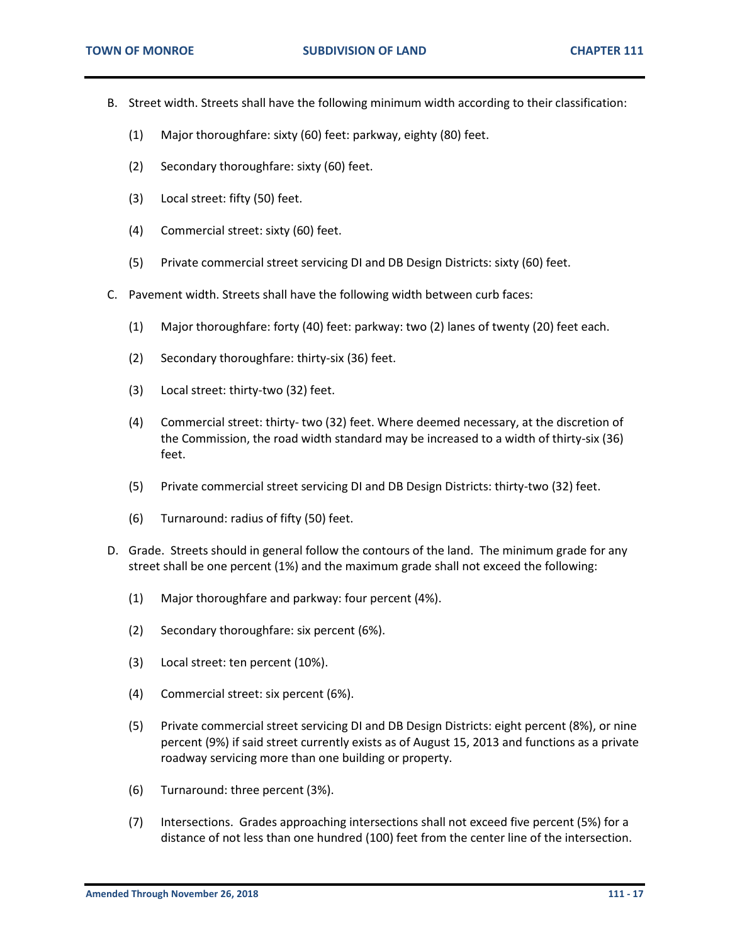- B. Street width. Streets shall have the following minimum width according to their classification:
	- (1) Major thoroughfare: sixty (60) feet: parkway, eighty (80) feet.
	- (2) Secondary thoroughfare: sixty (60) feet.
	- (3) Local street: fifty (50) feet.
	- (4) Commercial street: sixty (60) feet.
	- (5) Private commercial street servicing DI and DB Design Districts: sixty (60) feet.
- C. Pavement width. Streets shall have the following width between curb faces:
	- (1) Major thoroughfare: forty (40) feet: parkway: two (2) lanes of twenty (20) feet each.
	- (2) Secondary thoroughfare: thirty-six (36) feet.
	- (3) Local street: thirty-two (32) feet.
	- (4) Commercial street: thirty- two (32) feet. Where deemed necessary, at the discretion of the Commission, the road width standard may be increased to a width of thirty-six (36) feet.
	- (5) Private commercial street servicing DI and DB Design Districts: thirty-two (32) feet.
	- (6) Turnaround: radius of fifty (50) feet.
- D. Grade. Streets should in general follow the contours of the land. The minimum grade for any street shall be one percent (1%) and the maximum grade shall not exceed the following:
	- (1) Major thoroughfare and parkway: four percent (4%).
	- (2) Secondary thoroughfare: six percent (6%).
	- (3) Local street: ten percent (10%).
	- (4) Commercial street: six percent (6%).
	- (5) Private commercial street servicing DI and DB Design Districts: eight percent (8%), or nine percent (9%) if said street currently exists as of August 15, 2013 and functions as a private roadway servicing more than one building or property.
	- (6) Turnaround: three percent (3%).
	- (7) Intersections. Grades approaching intersections shall not exceed five percent (5%) for a distance of not less than one hundred (100) feet from the center line of the intersection.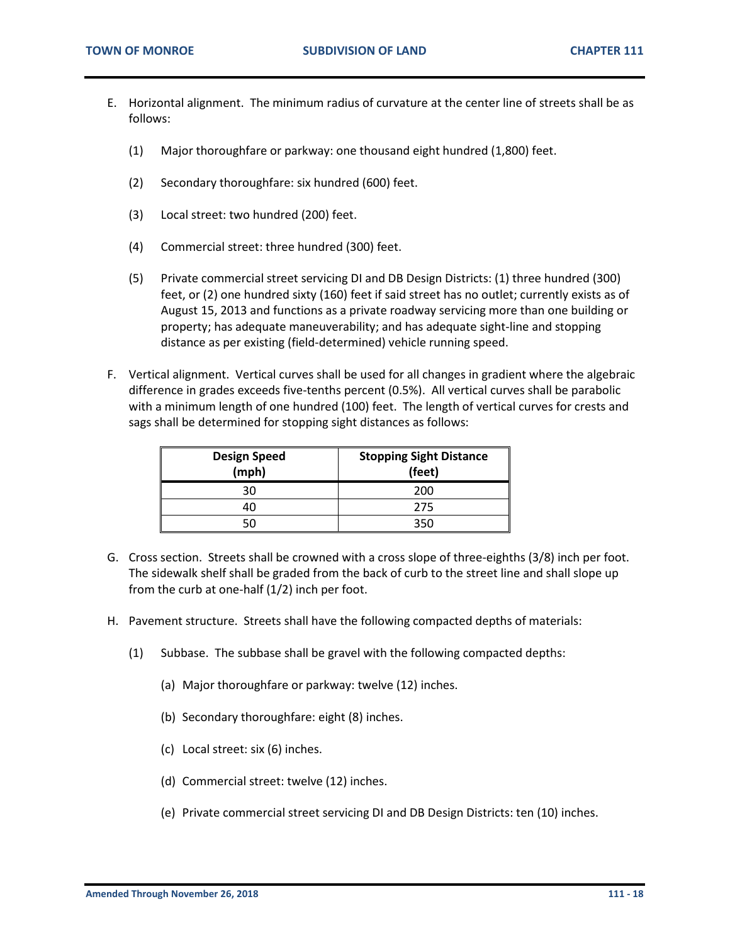- E. Horizontal alignment. The minimum radius of curvature at the center line of streets shall be as follows:
	- (1) Major thoroughfare or parkway: one thousand eight hundred (1,800) feet.
	- (2) Secondary thoroughfare: six hundred (600) feet.
	- (3) Local street: two hundred (200) feet.
	- (4) Commercial street: three hundred (300) feet.
	- (5) Private commercial street servicing DI and DB Design Districts: (1) three hundred (300) feet, or (2) one hundred sixty (160) feet if said street has no outlet; currently exists as of August 15, 2013 and functions as a private roadway servicing more than one building or property; has adequate maneuverability; and has adequate sight-line and stopping distance as per existing (field-determined) vehicle running speed.
- F. Vertical alignment. Vertical curves shall be used for all changes in gradient where the algebraic difference in grades exceeds five-tenths percent (0.5%). All vertical curves shall be parabolic with a minimum length of one hundred (100) feet. The length of vertical curves for crests and sags shall be determined for stopping sight distances as follows:

| <b>Design Speed</b><br>(mph) | <b>Stopping Sight Distance</b><br>(feet) |
|------------------------------|------------------------------------------|
| 30                           | 200                                      |
| 40                           | 275                                      |
| 50                           | ってい                                      |

- G. Cross section. Streets shall be crowned with a cross slope of three-eighths (3/8) inch per foot. The sidewalk shelf shall be graded from the back of curb to the street line and shall slope up from the curb at one-half (1/2) inch per foot.
- H. Pavement structure. Streets shall have the following compacted depths of materials:
	- (1) Subbase. The subbase shall be gravel with the following compacted depths:
		- (a) Major thoroughfare or parkway: twelve (12) inches.
		- (b) Secondary thoroughfare: eight (8) inches.
		- (c) Local street: six (6) inches.
		- (d) Commercial street: twelve (12) inches.
		- (e) Private commercial street servicing DI and DB Design Districts: ten (10) inches.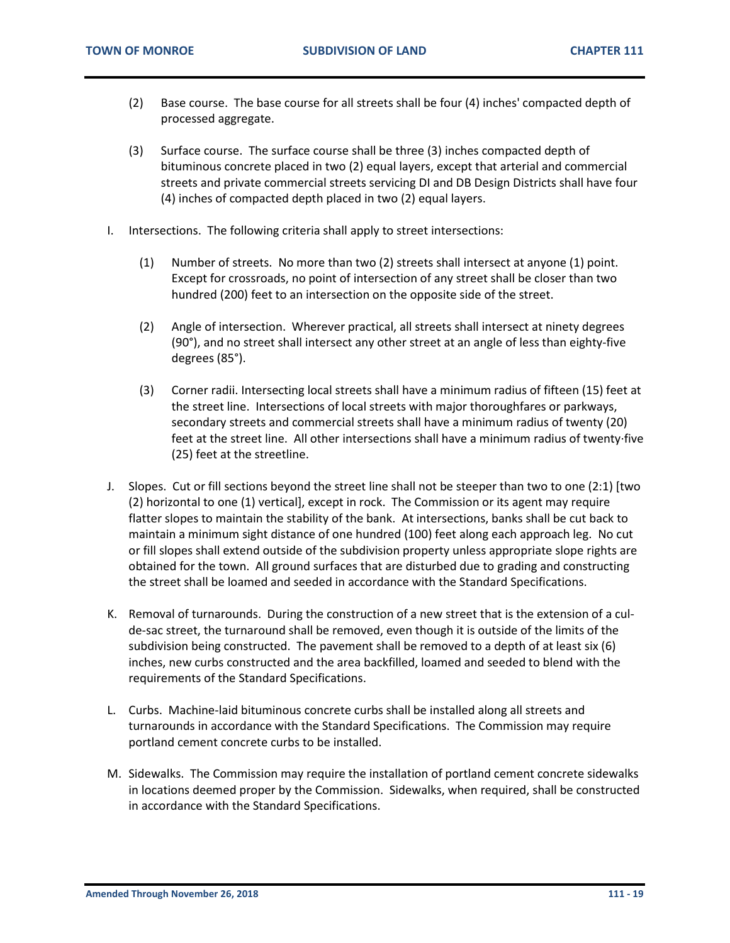- (2) Base course. The base course for all streets shall be four (4) inches' compacted depth of processed aggregate.
- (3) Surface course. The surface course shall be three (3) inches compacted depth of bituminous concrete placed in two (2) equal layers, except that arterial and commercial streets and private commercial streets servicing DI and DB Design Districts shall have four (4) inches of compacted depth placed in two (2) equal layers.
- I. Intersections. The following criteria shall apply to street intersections:
	- (1) Number of streets. No more than two (2) streets shall intersect at anyone (1) point. Except for crossroads, no point of intersection of any street shall be closer than two hundred (200) feet to an intersection on the opposite side of the street.
	- (2) Angle of intersection. Wherever practical, all streets shall intersect at ninety degrees (90°), and no street shall intersect any other street at an angle of less than eighty-five degrees (85°).
	- (3) Corner radii. Intersecting local streets shall have a minimum radius of fifteen (15) feet at the street line. Intersections of local streets with major thoroughfares or parkways, secondary streets and commercial streets shall have a minimum radius of twenty (20) feet at the street line. All other intersections shall have a minimum radius of twenty·five (25) feet at the streetline.
- J. Slopes. Cut or fill sections beyond the street line shall not be steeper than two to one (2:1) [two (2) horizontal to one (1) vertical], except in rock. The Commission or its agent may require flatter slopes to maintain the stability of the bank. At intersections, banks shall be cut back to maintain a minimum sight distance of one hundred (100) feet along each approach leg. No cut or fill slopes shall extend outside of the subdivision property unless appropriate slope rights are obtained for the town. All ground surfaces that are disturbed due to grading and constructing the street shall be loamed and seeded in accordance with the Standard Specifications.
- K. Removal of turnarounds. During the construction of a new street that is the extension of a culde-sac street, the turnaround shall be removed, even though it is outside of the limits of the subdivision being constructed. The pavement shall be removed to a depth of at least six (6) inches, new curbs constructed and the area backfilled, loamed and seeded to blend with the requirements of the Standard Specifications.
- L. Curbs. Machine-laid bituminous concrete curbs shall be installed along all streets and turnarounds in accordance with the Standard Specifications. The Commission may require portland cement concrete curbs to be installed.
- M. Sidewalks. The Commission may require the installation of portland cement concrete sidewalks in locations deemed proper by the Commission. Sidewalks, when required, shall be constructed in accordance with the Standard Specifications.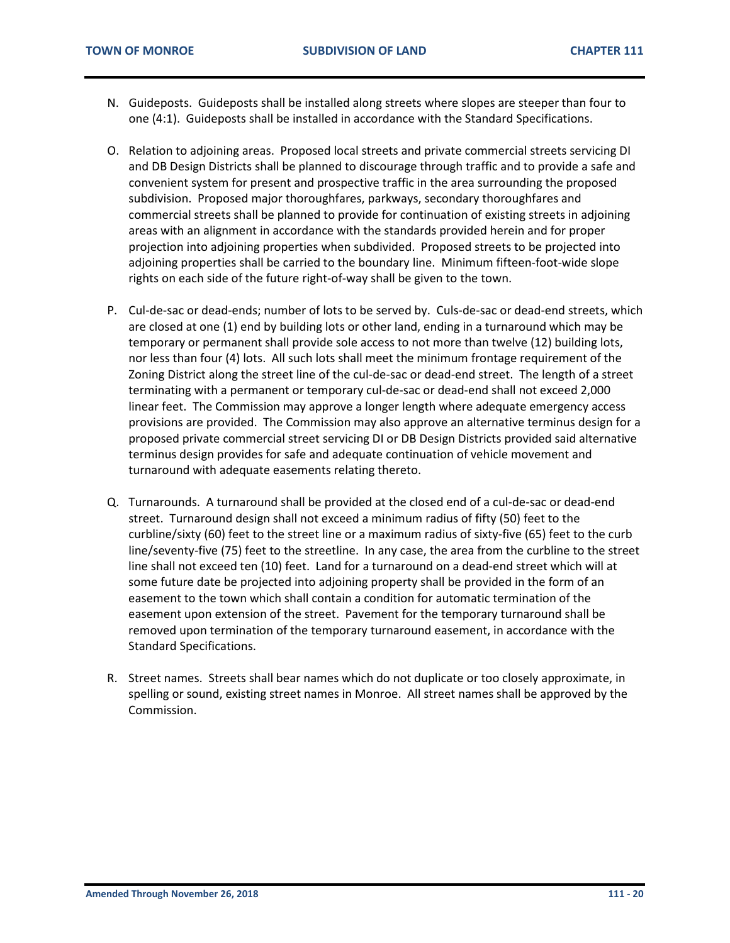- N. Guideposts. Guideposts shall be installed along streets where slopes are steeper than four to one (4:1). Guideposts shall be installed in accordance with the Standard Specifications.
- O. Relation to adjoining areas. Proposed local streets and private commercial streets servicing DI and DB Design Districts shall be planned to discourage through traffic and to provide a safe and convenient system for present and prospective traffic in the area surrounding the proposed subdivision. Proposed major thoroughfares, parkways, secondary thoroughfares and commercial streets shall be planned to provide for continuation of existing streets in adjoining areas with an alignment in accordance with the standards provided herein and for proper projection into adjoining properties when subdivided. Proposed streets to be projected into adjoining properties shall be carried to the boundary line. Minimum fifteen-foot-wide slope rights on each side of the future right-of-way shall be given to the town.
- P. Cul-de-sac or dead-ends; number of lots to be served by. Culs-de-sac or dead-end streets, which are closed at one (1) end by building lots or other land, ending in a turnaround which may be temporary or permanent shall provide sole access to not more than twelve (12) building lots, nor less than four (4) lots. All such lots shall meet the minimum frontage requirement of the Zoning District along the street line of the cul-de-sac or dead-end street. The length of a street terminating with a permanent or temporary cul-de-sac or dead-end shall not exceed 2,000 linear feet. The Commission may approve a longer length where adequate emergency access provisions are provided. The Commission may also approve an alternative terminus design for a proposed private commercial street servicing DI or DB Design Districts provided said alternative terminus design provides for safe and adequate continuation of vehicle movement and turnaround with adequate easements relating thereto.
- Q. Turnarounds. A turnaround shall be provided at the closed end of a cul-de-sac or dead-end street. Turnaround design shall not exceed a minimum radius of fifty (50) feet to the curbline/sixty (60) feet to the street line or a maximum radius of sixty-five (65) feet to the curb line/seventy-five (75) feet to the streetline. In any case, the area from the curbline to the street line shall not exceed ten (10) feet. Land for a turnaround on a dead-end street which will at some future date be projected into adjoining property shall be provided in the form of an easement to the town which shall contain a condition for automatic termination of the easement upon extension of the street. Pavement for the temporary turnaround shall be removed upon termination of the temporary turnaround easement, in accordance with the Standard Specifications.
- R. Street names. Streets shall bear names which do not duplicate or too closely approximate, in spelling or sound, existing street names in Monroe. All street names shall be approved by the Commission.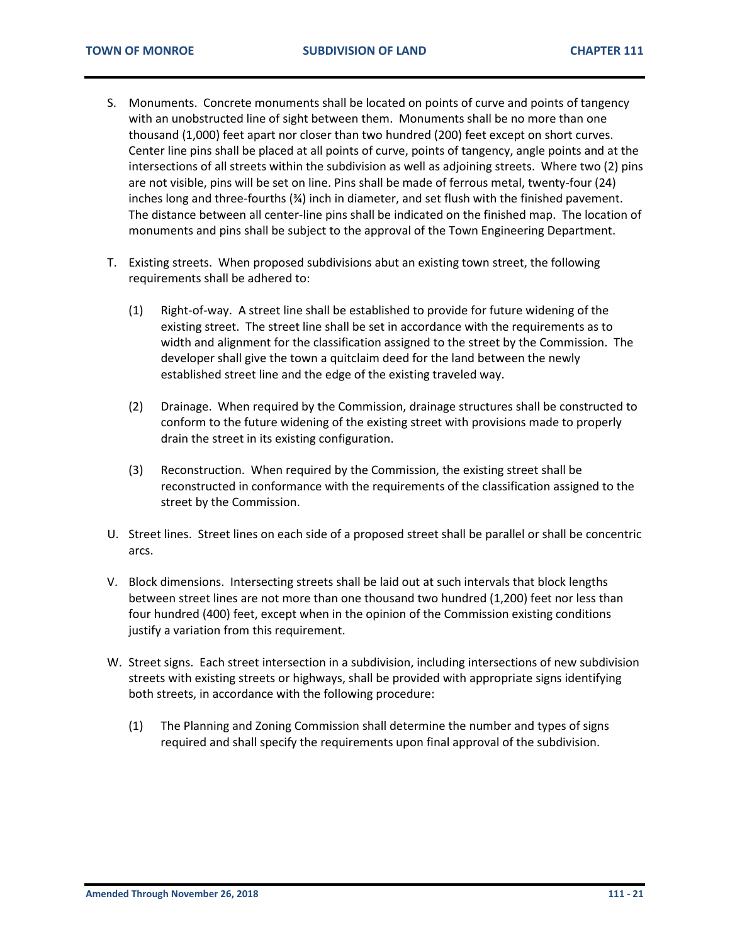- S. Monuments. Concrete monuments shall be located on points of curve and points of tangency with an unobstructed line of sight between them. Monuments shall be no more than one thousand (1,000) feet apart nor closer than two hundred (200) feet except on short curves. Center line pins shall be placed at all points of curve, points of tangency, angle points and at the intersections of all streets within the subdivision as well as adjoining streets. Where two (2) pins are not visible, pins will be set on line. Pins shall be made of ferrous metal, twenty-four (24) inches long and three-fourths (¾) inch in diameter, and set flush with the finished pavement. The distance between all center-line pins shall be indicated on the finished map. The location of monuments and pins shall be subject to the approval of the Town Engineering Department.
- T. Existing streets. When proposed subdivisions abut an existing town street, the following requirements shall be adhered to:
	- (1) Right-of-way. A street line shall be established to provide for future widening of the existing street. The street line shall be set in accordance with the requirements as to width and alignment for the classification assigned to the street by the Commission. The developer shall give the town a quitclaim deed for the land between the newly established street line and the edge of the existing traveled way.
	- (2) Drainage. When required by the Commission, drainage structures shall be constructed to conform to the future widening of the existing street with provisions made to properly drain the street in its existing configuration.
	- (3) Reconstruction. When required by the Commission, the existing street shall be reconstructed in conformance with the requirements of the classification assigned to the street by the Commission.
- U. Street lines. Street lines on each side of a proposed street shall be parallel or shall be concentric arcs.
- V. Block dimensions. Intersecting streets shall be laid out at such intervals that block lengths between street lines are not more than one thousand two hundred (1,200) feet nor less than four hundred (400) feet, except when in the opinion of the Commission existing conditions justify a variation from this requirement.
- W. Street signs. Each street intersection in a subdivision, including intersections of new subdivision streets with existing streets or highways, shall be provided with appropriate signs identifying both streets, in accordance with the following procedure:
	- (1) The Planning and Zoning Commission shall determine the number and types of signs required and shall specify the requirements upon final approval of the subdivision.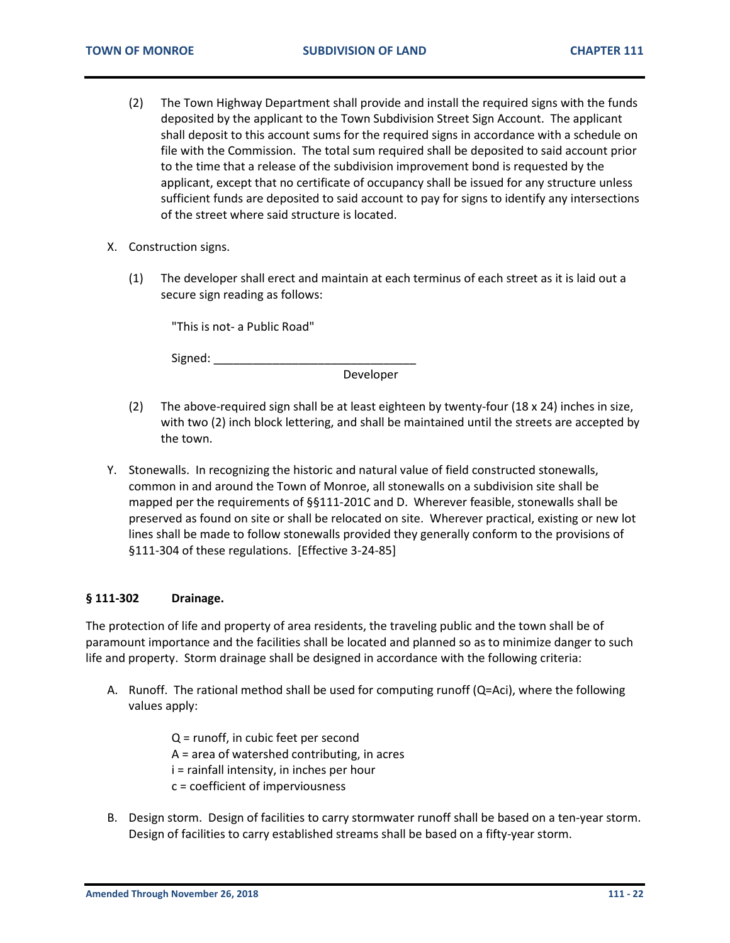- (2) The Town Highway Department shall provide and install the required signs with the funds deposited by the applicant to the Town Subdivision Street Sign Account. The applicant shall deposit to this account sums for the required signs in accordance with a schedule on file with the Commission. The total sum required shall be deposited to said account prior to the time that a release of the subdivision improvement bond is requested by the applicant, except that no certificate of occupancy shall be issued for any structure unless sufficient funds are deposited to said account to pay for signs to identify any intersections of the street where said structure is located.
- X. Construction signs.
	- (1) The developer shall erect and maintain at each terminus of each street as it is laid out a secure sign reading as follows:

"This is not- a Public Road"

Signed: \_\_\_\_\_\_\_\_\_\_\_\_\_\_\_\_\_\_\_\_\_\_\_\_\_\_\_\_\_\_\_

Developer

- (2) The above-required sign shall be at least eighteen by twenty-four (18 x 24) inches in size, with two (2) inch block lettering, and shall be maintained until the streets are accepted by the town.
- Y. Stonewalls. In recognizing the historic and natural value of field constructed stonewalls, common in and around the Town of Monroe, all stonewalls on a subdivision site shall be mapped per the requirements of §§111-201C and D. Wherever feasible, stonewalls shall be preserved as found on site or shall be relocated on site. Wherever practical, existing or new lot lines shall be made to follow stonewalls provided they generally conform to the provisions of §111-304 of these regulations. [Effective 3-24-85]

#### <span id="page-21-0"></span>**§ 111-302 Drainage.**

The protection of life and property of area residents, the traveling public and the town shall be of paramount importance and the facilities shall be located and planned so as to minimize danger to such life and property. Storm drainage shall be designed in accordance with the following criteria:

- A. Runoff. The rational method shall be used for computing runoff (Q=Aci), where the following values apply:
	- Q = runoff, in cubic feet per second A = area of watershed contributing, in acres i = rainfall intensity, in inches per hour c = coefficient of imperviousness
- B. Design storm. Design of facilities to carry stormwater runoff shall be based on a ten-year storm. Design of facilities to carry established streams shall be based on a fifty-year storm.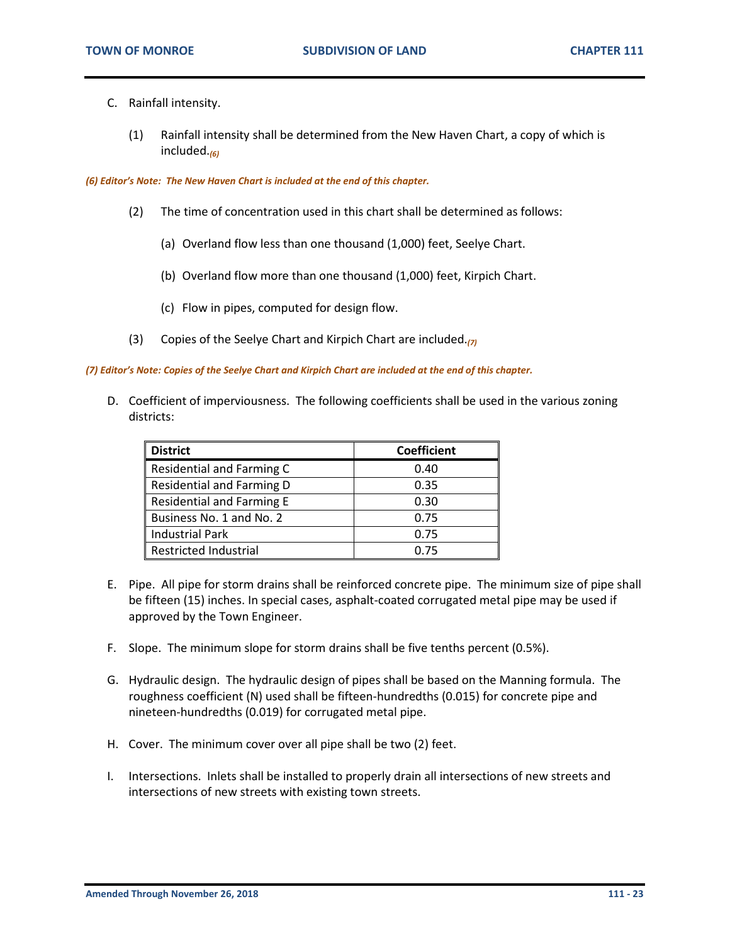- C. Rainfall intensity.
	- (1) Rainfall intensity shall be determined from the New Haven Chart, a copy of which is included.*(6)*

*(6) Editor's Note: The New Haven Chart is included at the end of this chapter.*

- (2) The time of concentration used in this chart shall be determined as follows:
	- (a) Overland flow less than one thousand (1,000) feet, Seelye Chart.
	- (b) Overland flow more than one thousand (1,000) feet, Kirpich Chart.
	- (c) Flow in pipes, computed for design flow.
- (3) Copies of the Seelye Chart and Kirpich Chart are included.*(7)*

*(7) Editor's Note: Copies of the Seelye Chart and Kirpich Chart are included at the end of this chapter.*

D. Coefficient of imperviousness. The following coefficients shall be used in the various zoning districts:

| <b>District</b>           | <b>Coefficient</b> |
|---------------------------|--------------------|
| Residential and Farming C | 0.40               |
| Residential and Farming D | 0.35               |
| Residential and Farming E | 0.30               |
| Business No. 1 and No. 2  | 0.75               |
| <b>Industrial Park</b>    | 0.75               |
| Restricted Industrial     | 0.75               |

- E. Pipe. All pipe for storm drains shall be reinforced concrete pipe. The minimum size of pipe shall be fifteen (15) inches. In special cases, asphalt-coated corrugated metal pipe may be used if approved by the Town Engineer.
- F. Slope. The minimum slope for storm drains shall be five tenths percent (0.5%).
- G. Hydraulic design. The hydraulic design of pipes shall be based on the Manning formula. The roughness coefficient (N) used shall be fifteen-hundredths (0.015) for concrete pipe and nineteen-hundredths (0.019) for corrugated metal pipe.
- H. Cover. The minimum cover over all pipe shall be two (2) feet.
- I. Intersections. Inlets shall be installed to properly drain all intersections of new streets and intersections of new streets with existing town streets.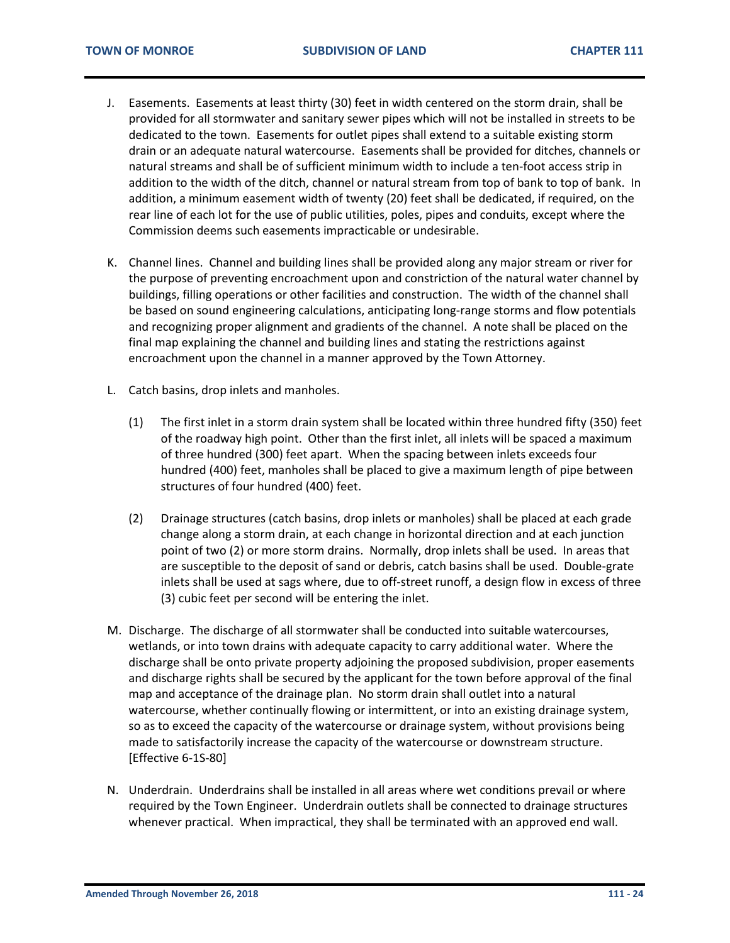- J. Easements. Easements at least thirty (30) feet in width centered on the storm drain, shall be provided for all stormwater and sanitary sewer pipes which will not be installed in streets to be dedicated to the town. Easements for outlet pipes shall extend to a suitable existing storm drain or an adequate natural watercourse. Easements shall be provided for ditches, channels or natural streams and shall be of sufficient minimum width to include a ten-foot access strip in addition to the width of the ditch, channel or natural stream from top of bank to top of bank. In addition, a minimum easement width of twenty (20) feet shall be dedicated, if required, on the rear line of each lot for the use of public utilities, poles, pipes and conduits, except where the Commission deems such easements impracticable or undesirable.
- K. Channel lines. Channel and building lines shall be provided along any major stream or river for the purpose of preventing encroachment upon and constriction of the natural water channel by buildings, filling operations or other facilities and construction. The width of the channel shall be based on sound engineering calculations, anticipating long-range storms and flow potentials and recognizing proper alignment and gradients of the channel. A note shall be placed on the final map explaining the channel and building lines and stating the restrictions against encroachment upon the channel in a manner approved by the Town Attorney.
- L. Catch basins, drop inlets and manholes.
	- (1) The first inlet in a storm drain system shall be located within three hundred fifty (350) feet of the roadway high point. Other than the first inlet, all inlets will be spaced a maximum of three hundred (300) feet apart. When the spacing between inlets exceeds four hundred (400) feet, manholes shall be placed to give a maximum length of pipe between structures of four hundred (400) feet.
	- (2) Drainage structures (catch basins, drop inlets or manholes) shall be placed at each grade change along a storm drain, at each change in horizontal direction and at each junction point of two (2) or more storm drains. Normally, drop inlets shall be used. In areas that are susceptible to the deposit of sand or debris, catch basins shall be used. Double-grate inlets shall be used at sags where, due to off-street runoff, a design flow in excess of three (3) cubic feet per second will be entering the inlet.
- M. Discharge. The discharge of all stormwater shall be conducted into suitable watercourses, wetlands, or into town drains with adequate capacity to carry additional water. Where the discharge shall be onto private property adjoining the proposed subdivision, proper easements and discharge rights shall be secured by the applicant for the town before approval of the final map and acceptance of the drainage plan. No storm drain shall outlet into a natural watercourse, whether continually flowing or intermittent, or into an existing drainage system, so as to exceed the capacity of the watercourse or drainage system, without provisions being made to satisfactorily increase the capacity of the watercourse or downstream structure. [Effective 6-1S-80]
- N. Underdrain. Underdrains shall be installed in all areas where wet conditions prevail or where required by the Town Engineer. Underdrain outlets shall be connected to drainage structures whenever practical. When impractical, they shall be terminated with an approved end wall.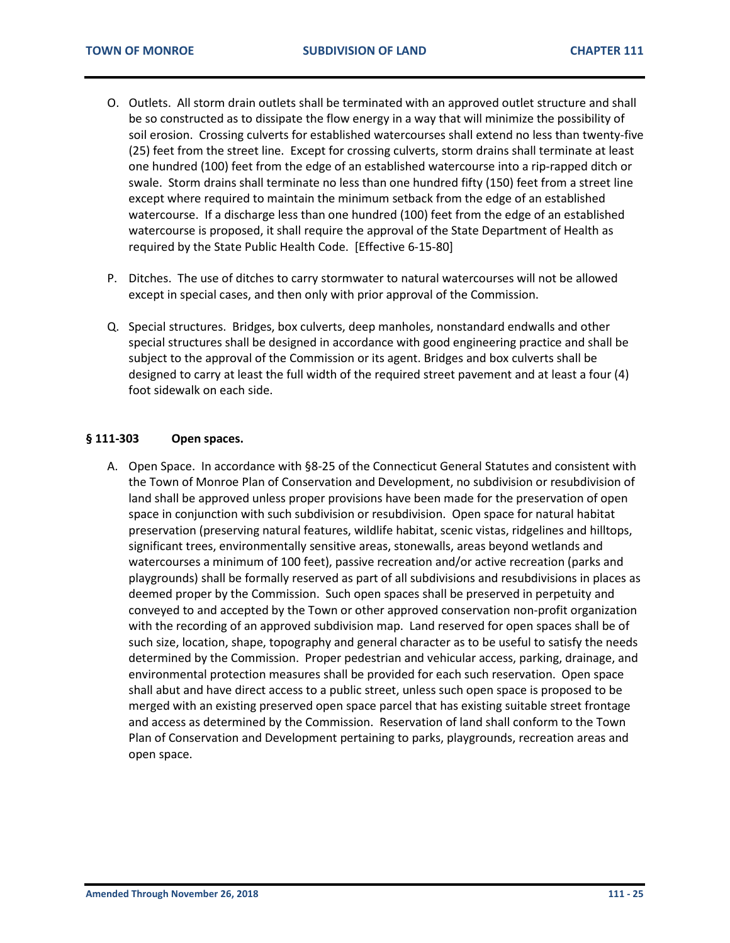- O. Outlets. All storm drain outlets shall be terminated with an approved outlet structure and shall be so constructed as to dissipate the flow energy in a way that will minimize the possibility of soil erosion. Crossing culverts for established watercourses shall extend no less than twenty-five (25) feet from the street line. Except for crossing culverts, storm drains shall terminate at least one hundred (100) feet from the edge of an established watercourse into a rip-rapped ditch or swale. Storm drains shall terminate no less than one hundred fifty (150) feet from a street line except where required to maintain the minimum setback from the edge of an established watercourse. If a discharge less than one hundred (100) feet from the edge of an established watercourse is proposed, it shall require the approval of the State Department of Health as required by the State Public Health Code. [Effective 6-15-80]
- P. Ditches. The use of ditches to carry stormwater to natural watercourses will not be allowed except in special cases, and then only with prior approval of the Commission.
- Q. Special structures. Bridges, box culverts, deep manholes, nonstandard endwalls and other special structures shall be designed in accordance with good engineering practice and shall be subject to the approval of the Commission or its agent. Bridges and box culverts shall be designed to carry at least the full width of the required street pavement and at least a four (4) foot sidewalk on each side.

#### <span id="page-24-0"></span>**§ 111-303 Open spaces.**

A. Open Space. In accordance with §8-25 of the Connecticut General Statutes and consistent with the Town of Monroe Plan of Conservation and Development, no subdivision or resubdivision of land shall be approved unless proper provisions have been made for the preservation of open space in conjunction with such subdivision or resubdivision. Open space for natural habitat preservation (preserving natural features, wildlife habitat, scenic vistas, ridgelines and hilltops, significant trees, environmentally sensitive areas, stonewalls, areas beyond wetlands and watercourses a minimum of 100 feet), passive recreation and/or active recreation (parks and playgrounds) shall be formally reserved as part of all subdivisions and resubdivisions in places as deemed proper by the Commission. Such open spaces shall be preserved in perpetuity and conveyed to and accepted by the Town or other approved conservation non-profit organization with the recording of an approved subdivision map. Land reserved for open spaces shall be of such size, location, shape, topography and general character as to be useful to satisfy the needs determined by the Commission. Proper pedestrian and vehicular access, parking, drainage, and environmental protection measures shall be provided for each such reservation. Open space shall abut and have direct access to a public street, unless such open space is proposed to be merged with an existing preserved open space parcel that has existing suitable street frontage and access as determined by the Commission. Reservation of land shall conform to the Town Plan of Conservation and Development pertaining to parks, playgrounds, recreation areas and open space.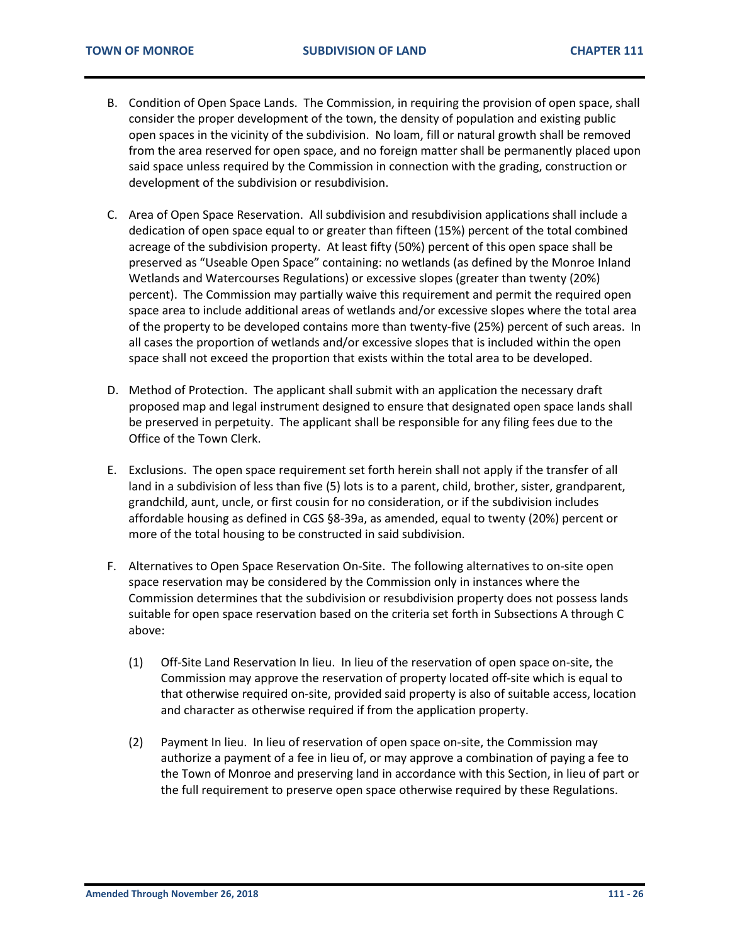- B. Condition of Open Space Lands. The Commission, in requiring the provision of open space, shall consider the proper development of the town, the density of population and existing public open spaces in the vicinity of the subdivision. No loam, fill or natural growth shall be removed from the area reserved for open space, and no foreign matter shall be permanently placed upon said space unless required by the Commission in connection with the grading, construction or development of the subdivision or resubdivision.
- C. Area of Open Space Reservation. All subdivision and resubdivision applications shall include a dedication of open space equal to or greater than fifteen (15%) percent of the total combined acreage of the subdivision property. At least fifty (50%) percent of this open space shall be preserved as "Useable Open Space" containing: no wetlands (as defined by the Monroe Inland Wetlands and Watercourses Regulations) or excessive slopes (greater than twenty (20%) percent). The Commission may partially waive this requirement and permit the required open space area to include additional areas of wetlands and/or excessive slopes where the total area of the property to be developed contains more than twenty-five (25%) percent of such areas. In all cases the proportion of wetlands and/or excessive slopes that is included within the open space shall not exceed the proportion that exists within the total area to be developed.
- D. Method of Protection. The applicant shall submit with an application the necessary draft proposed map and legal instrument designed to ensure that designated open space lands shall be preserved in perpetuity. The applicant shall be responsible for any filing fees due to the Office of the Town Clerk.
- E. Exclusions. The open space requirement set forth herein shall not apply if the transfer of all land in a subdivision of less than five (5) lots is to a parent, child, brother, sister, grandparent, grandchild, aunt, uncle, or first cousin for no consideration, or if the subdivision includes affordable housing as defined in CGS §8-39a, as amended, equal to twenty (20%) percent or more of the total housing to be constructed in said subdivision.
- F. Alternatives to Open Space Reservation On-Site. The following alternatives to on-site open space reservation may be considered by the Commission only in instances where the Commission determines that the subdivision or resubdivision property does not possess lands suitable for open space reservation based on the criteria set forth in Subsections A through C above:
	- (1) Off-Site Land Reservation In lieu. In lieu of the reservation of open space on-site, the Commission may approve the reservation of property located off-site which is equal to that otherwise required on-site, provided said property is also of suitable access, location and character as otherwise required if from the application property.
	- (2) Payment In lieu. In lieu of reservation of open space on-site, the Commission may authorize a payment of a fee in lieu of, or may approve a combination of paying a fee to the Town of Monroe and preserving land in accordance with this Section, in lieu of part or the full requirement to preserve open space otherwise required by these Regulations.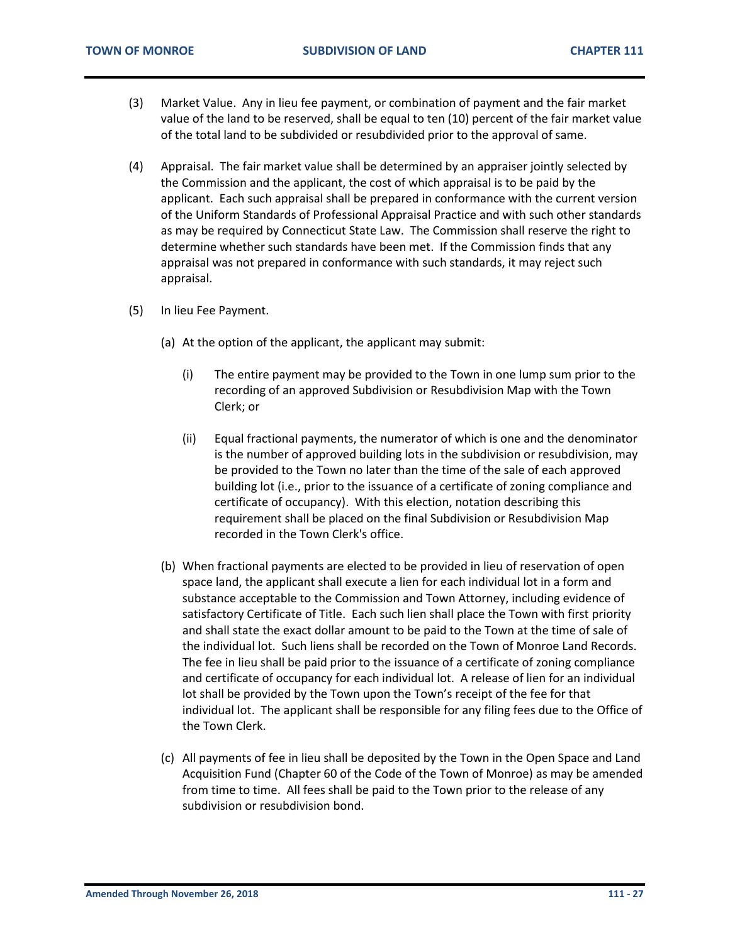- (3) Market Value. Any in lieu fee payment, or combination of payment and the fair market value of the land to be reserved, shall be equal to ten (10) percent of the fair market value of the total land to be subdivided or resubdivided prior to the approval of same.
- (4) Appraisal. The fair market value shall be determined by an appraiser jointly selected by the Commission and the applicant, the cost of which appraisal is to be paid by the applicant. Each such appraisal shall be prepared in conformance with the current version of the Uniform Standards of Professional Appraisal Practice and with such other standards as may be required by Connecticut State Law. The Commission shall reserve the right to determine whether such standards have been met. If the Commission finds that any appraisal was not prepared in conformance with such standards, it may reject such appraisal.
- (5) In lieu Fee Payment.
	- (a) At the option of the applicant, the applicant may submit:
		- (i) The entire payment may be provided to the Town in one lump sum prior to the recording of an approved Subdivision or Resubdivision Map with the Town Clerk; or
		- (ii) Equal fractional payments, the numerator of which is one and the denominator is the number of approved building lots in the subdivision or resubdivision, may be provided to the Town no later than the time of the sale of each approved building lot (i.e., prior to the issuance of a certificate of zoning compliance and certificate of occupancy). With this election, notation describing this requirement shall be placed on the final Subdivision or Resubdivision Map recorded in the Town Clerk's office.
	- (b) When fractional payments are elected to be provided in lieu of reservation of open space land, the applicant shall execute a lien for each individual lot in a form and substance acceptable to the Commission and Town Attorney, including evidence of satisfactory Certificate of Title. Each such lien shall place the Town with first priority and shall state the exact dollar amount to be paid to the Town at the time of sale of the individual lot. Such liens shall be recorded on the Town of Monroe Land Records. The fee in lieu shall be paid prior to the issuance of a certificate of zoning compliance and certificate of occupancy for each individual lot. A release of lien for an individual lot shall be provided by the Town upon the Town's receipt of the fee for that individual lot. The applicant shall be responsible for any filing fees due to the Office of the Town Clerk.
	- (c) All payments of fee in lieu shall be deposited by the Town in the Open Space and Land Acquisition Fund (Chapter 60 of the Code of the Town of Monroe) as may be amended from time to time. All fees shall be paid to the Town prior to the release of any subdivision or resubdivision bond.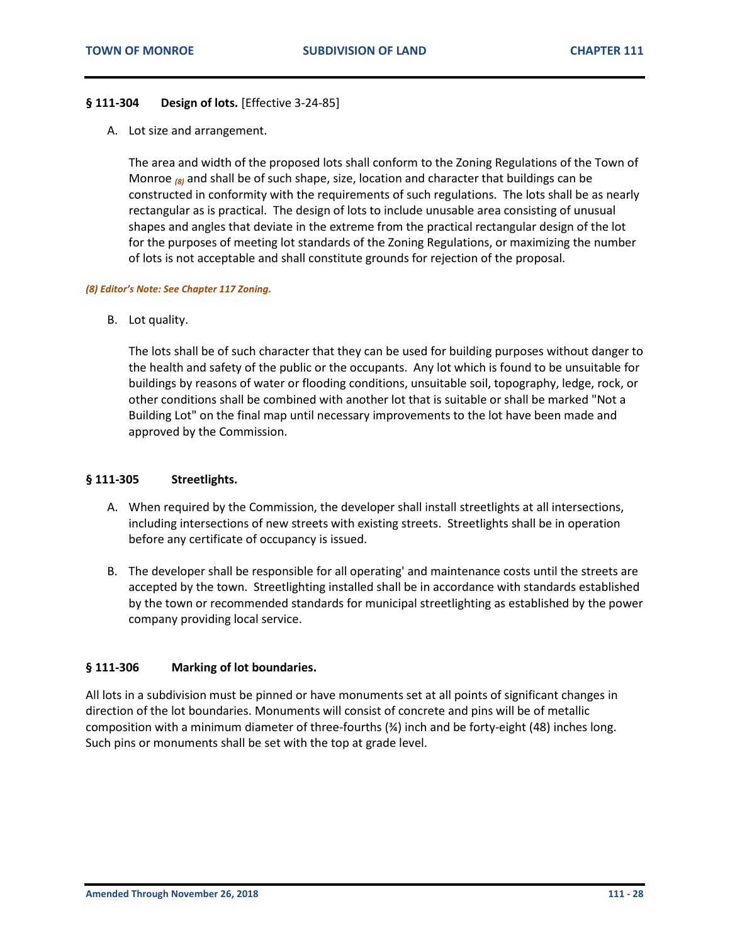#### <span id="page-27-0"></span>**§ 111-304 Design of lots.** [Effective 3-24-85]

A. Lot size and arrangement.

The area and width of the proposed lots shall conform to the Zoning Regulations of the Town of Monroe *(8)* and shall be of such shape, size, location and character that buildings can be constructed in conformity with the requirements of such regulations. The lots shall be as nearly rectangular as is practical. The design of lots to include unusable area consisting of unusual shapes and angles that deviate in the extreme from the practical rectangular design of the lot for the purposes of meeting lot standards of the Zoning Regulations, or maximizing the number of lots is not acceptable and shall constitute grounds for rejection of the proposal.

#### *(8) Editor's Note: See Chapter 117 Zoning.*

B. Lot quality.

The lots shall be of such character that they can be used for building purposes without danger to the health and safety of the public or the occupants. Any lot which is found to be unsuitable for buildings by reasons of water or flooding conditions, unsuitable soil, topography, ledge, rock, or other conditions shall be combined with another lot that is suitable or shall be marked "Not a Building Lot" on the final map until necessary improvements to the lot have been made and approved by the Commission.

#### <span id="page-27-1"></span>**§ 111-305 Streetlights.**

- A. When required by the Commission, the developer shall install streetlights at all intersections, including intersections of new streets with existing streets. Streetlights shall be in operation before any certificate of occupancy is issued.
- B. The developer shall be responsible for all operating' and maintenance costs until the streets are accepted by the town. Streetlighting installed shall be in accordance with standards established by the town or recommended standards for municipal streetlighting as established by the power company providing local service.

#### <span id="page-27-2"></span>**§ 111-306 Marking of lot boundaries.**

All lots in a subdivision must be pinned or have monuments set at all points of significant changes in direction of the lot boundaries. Monuments will consist of concrete and pins will be of metallic composition with a minimum diameter of three-fourths (¾) inch and be forty-eight (48) inches long. Such pins or monuments shall be set with the top at grade level.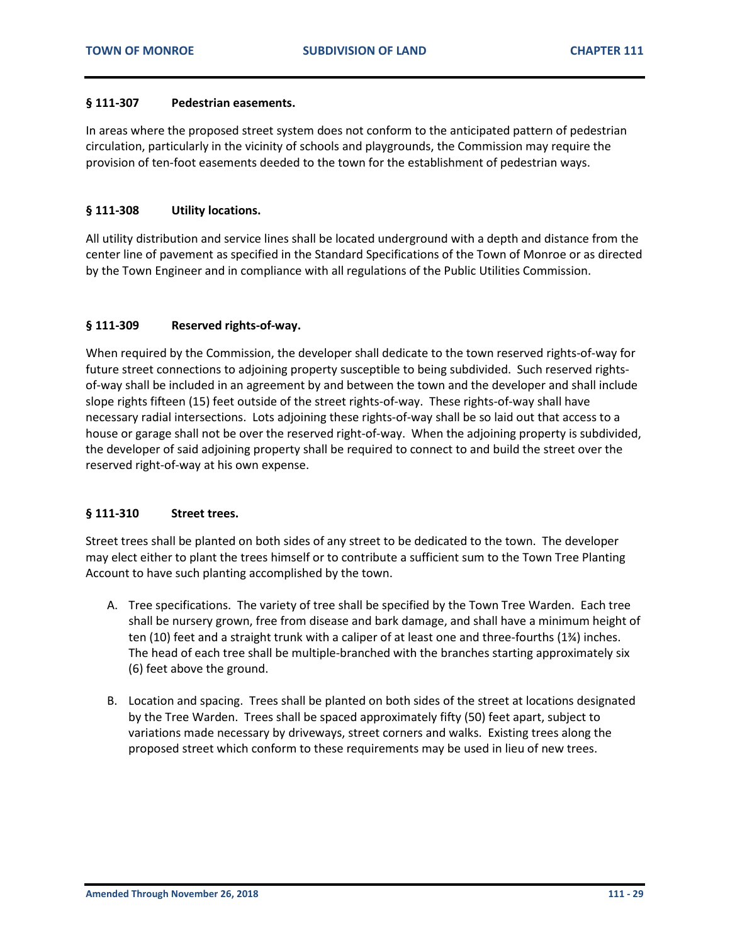#### <span id="page-28-0"></span>**§ 111-307 Pedestrian easements.**

In areas where the proposed street system does not conform to the anticipated pattern of pedestrian circulation, particularly in the vicinity of schools and playgrounds, the Commission may require the provision of ten-foot easements deeded to the town for the establishment of pedestrian ways.

#### <span id="page-28-1"></span>**§ 111-308 Utility locations.**

All utility distribution and service lines shall be located underground with a depth and distance from the center line of pavement as specified in the Standard Specifications of the Town of Monroe or as directed by the Town Engineer and in compliance with all regulations of the Public Utilities Commission.

#### <span id="page-28-2"></span>**§ 111-309 Reserved rights-of-way.**

When required by the Commission, the developer shall dedicate to the town reserved rights-of-way for future street connections to adjoining property susceptible to being subdivided. Such reserved rightsof-way shall be included in an agreement by and between the town and the developer and shall include slope rights fifteen (15) feet outside of the street rights-of-way. These rights-of-way shall have necessary radial intersections. Lots adjoining these rights-of-way shall be so laid out that access to a house or garage shall not be over the reserved right-of-way. When the adjoining property is subdivided, the developer of said adjoining property shall be required to connect to and build the street over the reserved right-of-way at his own expense.

#### <span id="page-28-3"></span>**§ 111-310 Street trees.**

Street trees shall be planted on both sides of any street to be dedicated to the town. The developer may elect either to plant the trees himself or to contribute a sufficient sum to the Town Tree Planting Account to have such planting accomplished by the town.

- A. Tree specifications. The variety of tree shall be specified by the Town Tree Warden. Each tree shall be nursery grown, free from disease and bark damage, and shall have a minimum height of ten (10) feet and a straight trunk with a caliper of at least one and three-fourths (1¾) inches. The head of each tree shall be multiple-branched with the branches starting approximately six (6) feet above the ground.
- B. Location and spacing. Trees shall be planted on both sides of the street at locations designated by the Tree Warden. Trees shall be spaced approximately fifty (50) feet apart, subject to variations made necessary by driveways, street corners and walks. Existing trees along the proposed street which conform to these requirements may be used in lieu of new trees.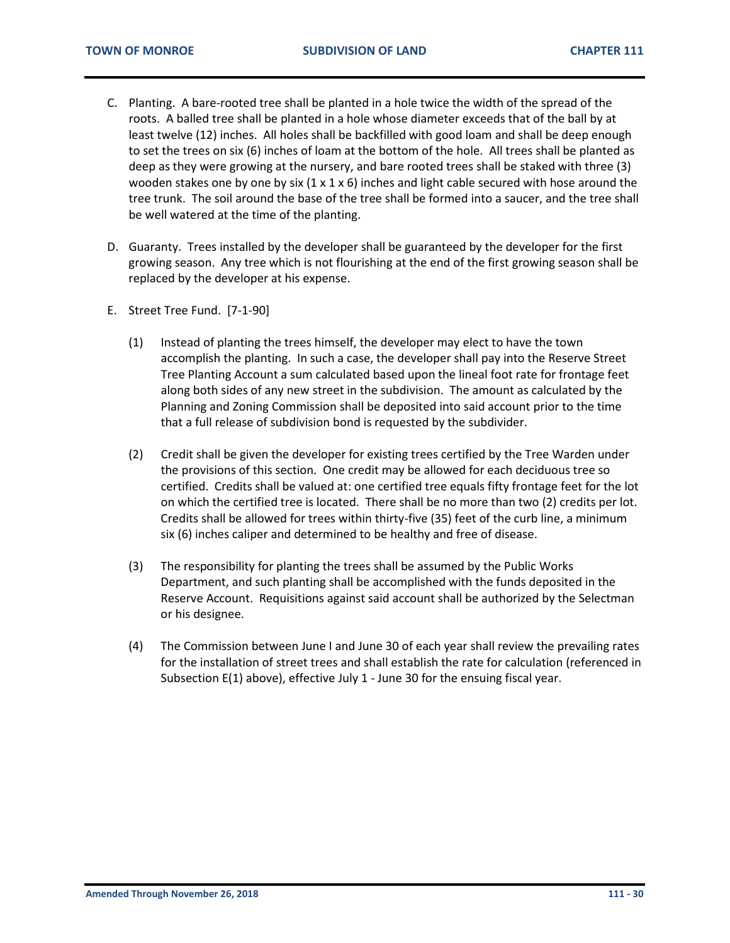- C. Planting. A bare-rooted tree shall be planted in a hole twice the width of the spread of the roots. A balled tree shall be planted in a hole whose diameter exceeds that of the ball by at least twelve (12) inches. All holes shall be backfilled with good loam and shall be deep enough to set the trees on six (6) inches of loam at the bottom of the hole. All trees shall be planted as deep as they were growing at the nursery, and bare rooted trees shall be staked with three (3) wooden stakes one by one by six  $(1 \times 1 \times 6)$  inches and light cable secured with hose around the tree trunk. The soil around the base of the tree shall be formed into a saucer, and the tree shall be well watered at the time of the planting.
- D. Guaranty. Trees installed by the developer shall be guaranteed by the developer for the first growing season. Any tree which is not flourishing at the end of the first growing season shall be replaced by the developer at his expense.
- E. Street Tree Fund. [7-1-90]
	- (1) Instead of planting the trees himself, the developer may elect to have the town accomplish the planting. In such a case, the developer shall pay into the Reserve Street Tree Planting Account a sum calculated based upon the lineal foot rate for frontage feet along both sides of any new street in the subdivision. The amount as calculated by the Planning and Zoning Commission shall be deposited into said account prior to the time that a full release of subdivision bond is requested by the subdivider.
	- (2) Credit shall be given the developer for existing trees certified by the Tree Warden under the provisions of this section. One credit may be allowed for each deciduous tree so certified. Credits shall be valued at: one certified tree equals fifty frontage feet for the lot on which the certified tree is located. There shall be no more than two (2) credits per lot. Credits shall be allowed for trees within thirty-five (35) feet of the curb line, a minimum six (6) inches caliper and determined to be healthy and free of disease.
	- (3) The responsibility for planting the trees shall be assumed by the Public Works Department, and such planting shall be accomplished with the funds deposited in the Reserve Account. Requisitions against said account shall be authorized by the Selectman or his designee.
	- (4) The Commission between June I and June 30 of each year shall review the prevailing rates for the installation of street trees and shall establish the rate for calculation (referenced in Subsection E(1) above), effective July 1 - June 30 for the ensuing fiscal year.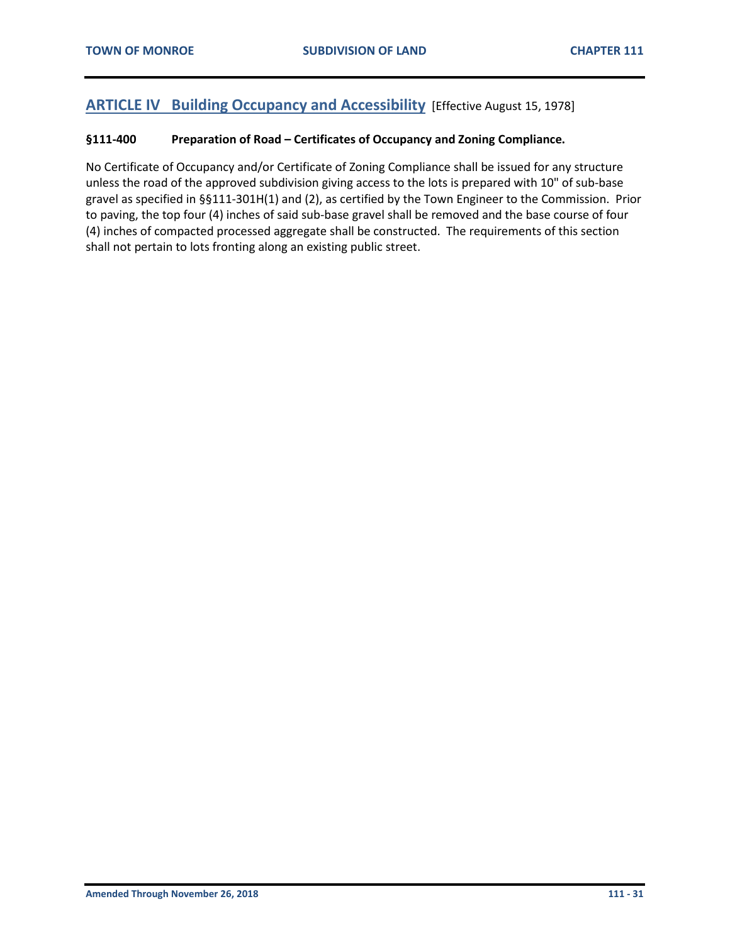## <span id="page-30-0"></span>**ARTICLE IV Building Occupancy and Accessibility** [Effective August 15, 1978]

#### <span id="page-30-1"></span>**§111-400 Preparation of Road – Certificates of Occupancy and Zoning Compliance.**

No Certificate of Occupancy and/or Certificate of Zoning Compliance shall be issued for any structure unless the road of the approved subdivision giving access to the lots is prepared with 10" of sub-base gravel as specified in §§111-301H(1) and (2), as certified by the Town Engineer to the Commission. Prior to paving, the top four (4) inches of said sub-base gravel shall be removed and the base course of four (4) inches of compacted processed aggregate shall be constructed. The requirements of this section shall not pertain to lots fronting along an existing public street.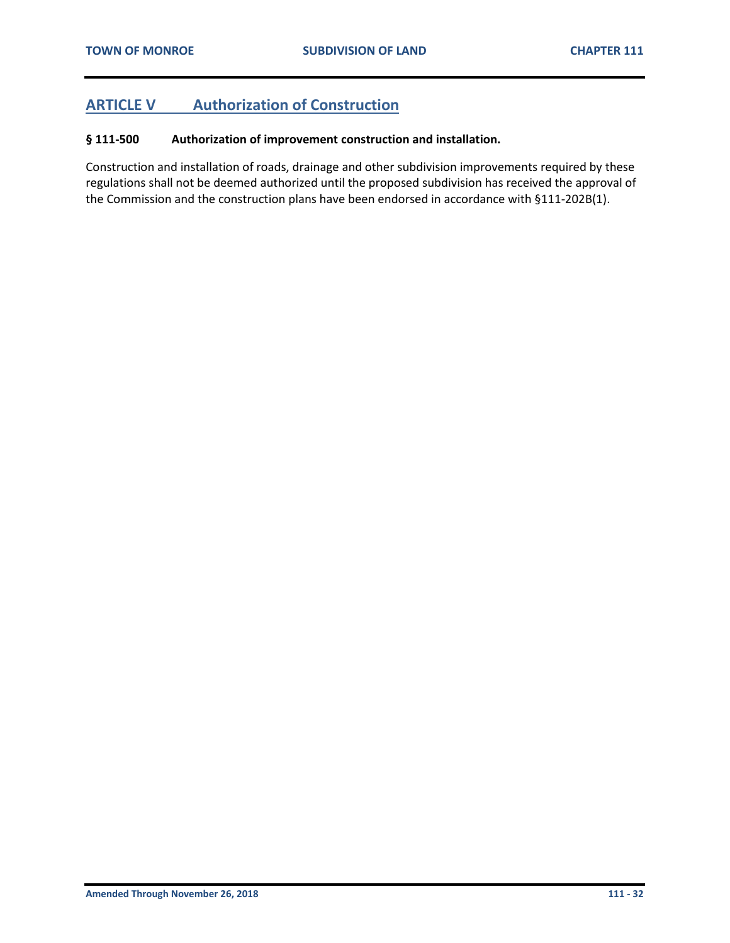## <span id="page-31-0"></span>**ARTICLE V Authorization of Construction**

#### <span id="page-31-1"></span>**§ 111-500 Authorization of improvement construction and installation.**

Construction and installation of roads, drainage and other subdivision improvements required by these regulations shall not be deemed authorized until the proposed subdivision has received the approval of the Commission and the construction plans have been endorsed in accordance with §111-202B(1).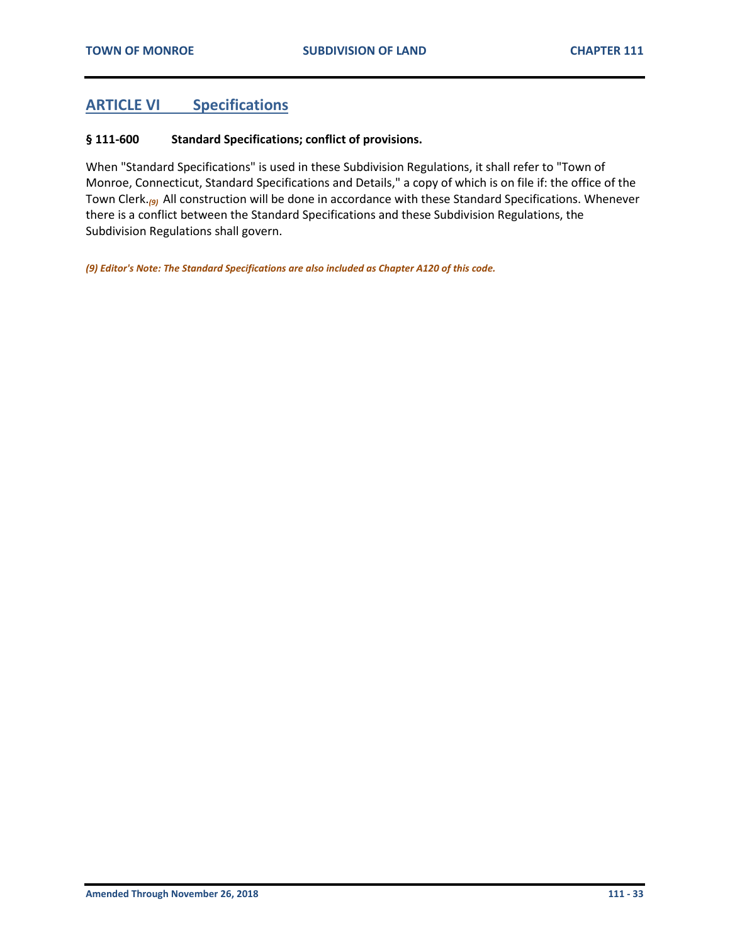## <span id="page-32-0"></span>**ARTICLE VI Specifications**

#### <span id="page-32-1"></span>**§ 111-600 Standard Specifications; conflict of provisions.**

When "Standard Specifications" is used in these Subdivision Regulations, it shall refer to "Town of Monroe, Connecticut, Standard Specifications and Details," a copy of which is on file if: the office of the Town Clerk.*(9)* All construction will be done in accordance with these Standard Specifications. Whenever there is a conflict between the Standard Specifications and these Subdivision Regulations, the Subdivision Regulations shall govern.

*(9) Editor's Note: The Standard Specifications are also included as Chapter A120 of this code.*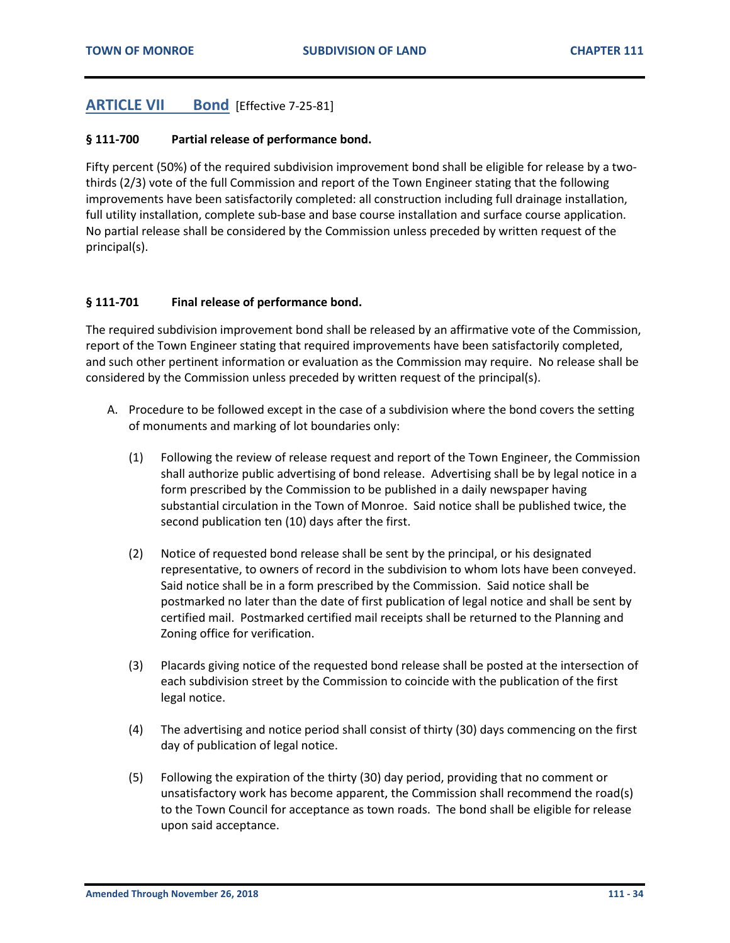## <span id="page-33-0"></span>**ARTICLE VII Bond** [Effective 7-25-81]

#### <span id="page-33-1"></span>**§ 111-700 Partial release of performance bond.**

Fifty percent (50%) of the required subdivision improvement bond shall be eligible for release by a twothirds (2/3) vote of the full Commission and report of the Town Engineer stating that the following improvements have been satisfactorily completed: all construction including full drainage installation, full utility installation, complete sub-base and base course installation and surface course application. No partial release shall be considered by the Commission unless preceded by written request of the principal(s).

#### <span id="page-33-2"></span>**§ 111-701 Final release of performance bond.**

The required subdivision improvement bond shall be released by an affirmative vote of the Commission, report of the Town Engineer stating that required improvements have been satisfactorily completed, and such other pertinent information or evaluation as the Commission may require. No release shall be considered by the Commission unless preceded by written request of the principal(s).

- A. Procedure to be followed except in the case of a subdivision where the bond covers the setting of monuments and marking of lot boundaries only:
	- (1) Following the review of release request and report of the Town Engineer, the Commission shall authorize public advertising of bond release. Advertising shall be by legal notice in a form prescribed by the Commission to be published in a daily newspaper having substantial circulation in the Town of Monroe. Said notice shall be published twice, the second publication ten (10) days after the first.
	- (2) Notice of requested bond release shall be sent by the principal, or his designated representative, to owners of record in the subdivision to whom lots have been conveyed. Said notice shall be in a form prescribed by the Commission. Said notice shall be postmarked no later than the date of first publication of legal notice and shall be sent by certified mail. Postmarked certified mail receipts shall be returned to the Planning and Zoning office for verification.
	- (3) Placards giving notice of the requested bond release shall be posted at the intersection of each subdivision street by the Commission to coincide with the publication of the first legal notice.
	- (4) The advertising and notice period shall consist of thirty (30) days commencing on the first day of publication of legal notice.
	- (5) Following the expiration of the thirty (30) day period, providing that no comment or unsatisfactory work has become apparent, the Commission shall recommend the road(s) to the Town Council for acceptance as town roads. The bond shall be eligible for release upon said acceptance.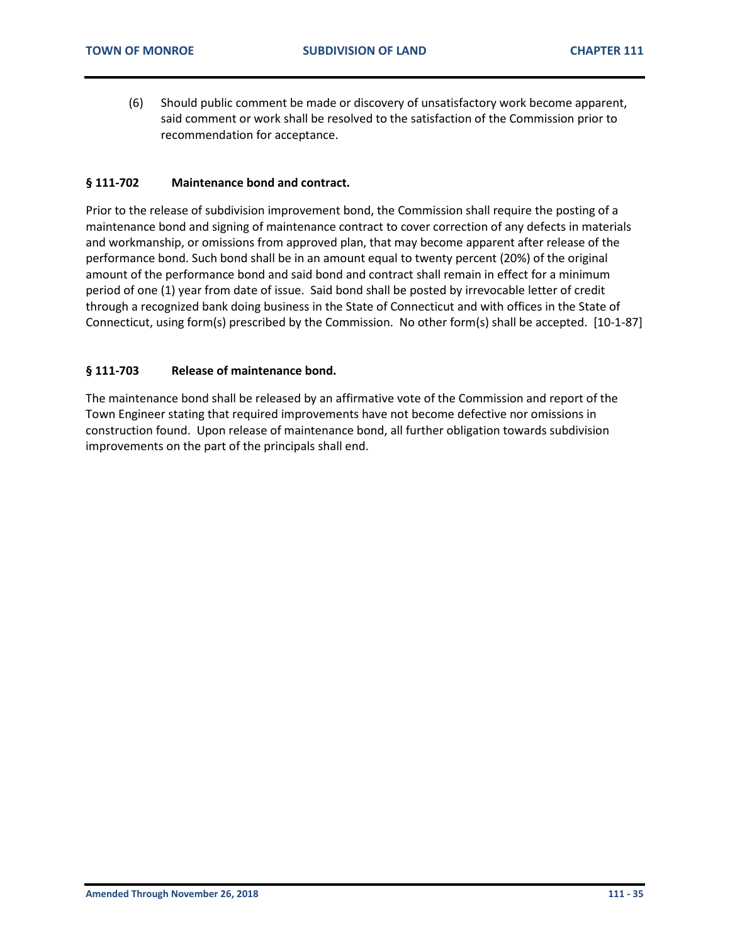(6) Should public comment be made or discovery of unsatisfactory work become apparent, said comment or work shall be resolved to the satisfaction of the Commission prior to recommendation for acceptance.

#### <span id="page-34-0"></span>**§ 111-702 Maintenance bond and contract.**

Prior to the release of subdivision improvement bond, the Commission shall require the posting of a maintenance bond and signing of maintenance contract to cover correction of any defects in materials and workmanship, or omissions from approved plan, that may become apparent after release of the performance bond. Such bond shall be in an amount equal to twenty percent (20%) of the original amount of the performance bond and said bond and contract shall remain in effect for a minimum period of one (1) year from date of issue. Said bond shall be posted by irrevocable letter of credit through a recognized bank doing business in the State of Connecticut and with offices in the State of Connecticut, using form(s) prescribed by the Commission. No other form(s) shall be accepted. [10-1-87]

#### <span id="page-34-1"></span>**§ 111-703 Release of maintenance bond.**

The maintenance bond shall be released by an affirmative vote of the Commission and report of the Town Engineer stating that required improvements have not become defective nor omissions in construction found. Upon release of maintenance bond, all further obligation towards subdivision improvements on the part of the principals shall end.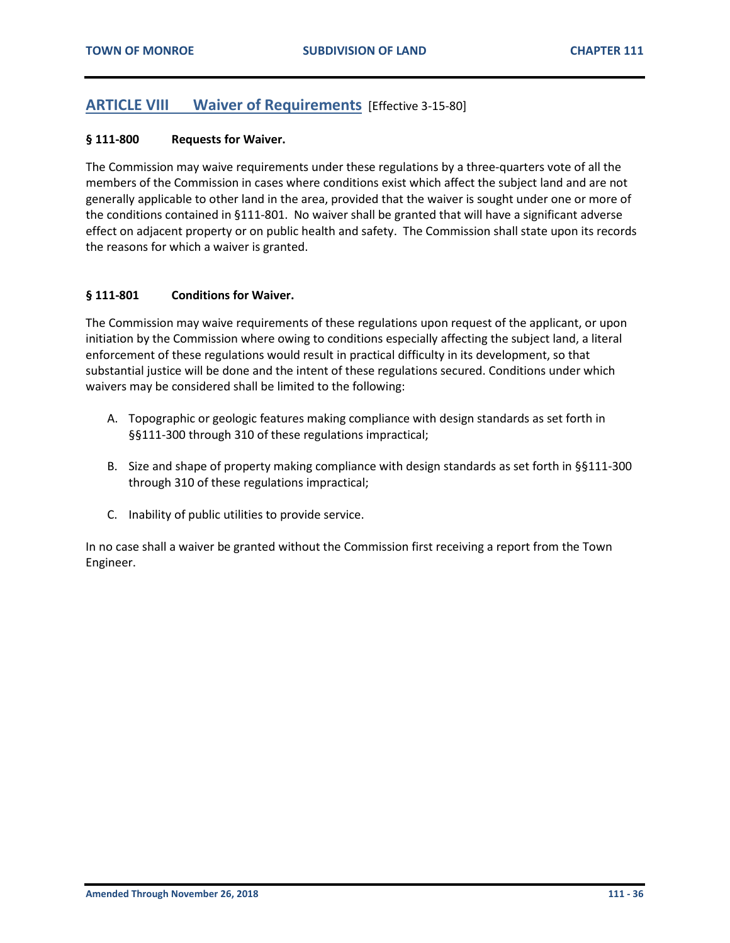## <span id="page-35-0"></span>**ARTICLE VIII Waiver of Requirements** [Effective 3-15-80]

#### <span id="page-35-1"></span>**§ 111-800 Requests for Waiver.**

The Commission may waive requirements under these regulations by a three-quarters vote of all the members of the Commission in cases where conditions exist which affect the subject land and are not generally applicable to other land in the area, provided that the waiver is sought under one or more of the conditions contained in §111-801. No waiver shall be granted that will have a significant adverse effect on adjacent property or on public health and safety. The Commission shall state upon its records the reasons for which a waiver is granted.

#### <span id="page-35-2"></span>**§ 111-801 Conditions for Waiver.**

The Commission may waive requirements of these regulations upon request of the applicant, or upon initiation by the Commission where owing to conditions especially affecting the subject land, a literal enforcement of these regulations would result in practical difficulty in its development, so that substantial justice will be done and the intent of these regulations secured. Conditions under which waivers may be considered shall be limited to the following:

- A. Topographic or geologic features making compliance with design standards as set forth in §§111-300 through 310 of these regulations impractical;
- B. Size and shape of property making compliance with design standards as set forth in §§111-300 through 310 of these regulations impractical;
- C. Inability of public utilities to provide service.

In no case shall a waiver be granted without the Commission first receiving a report from the Town Engineer.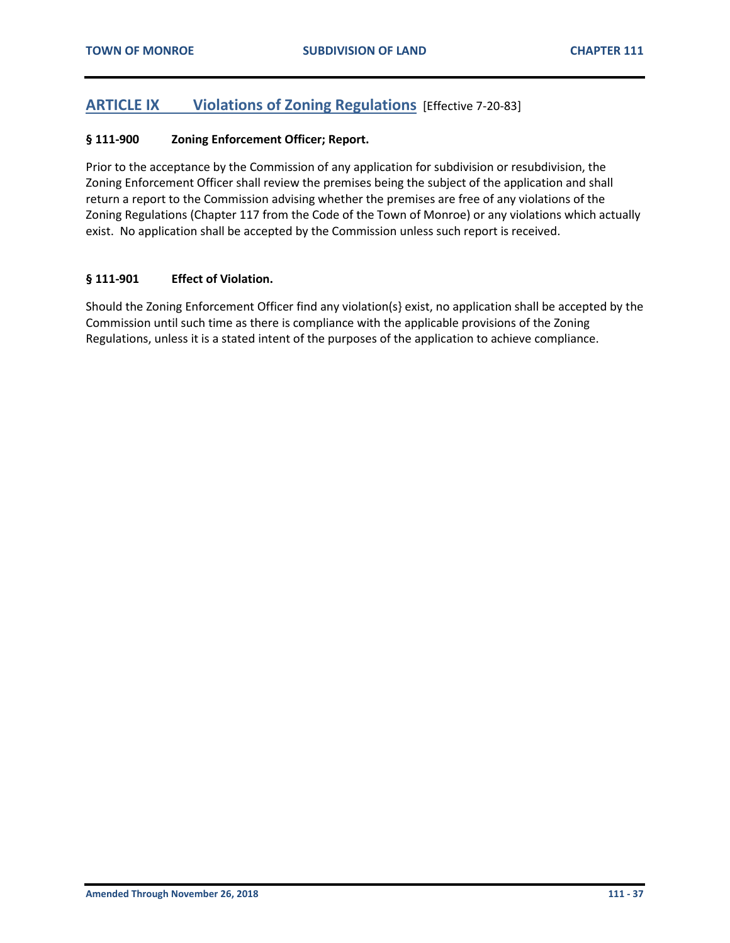## <span id="page-36-0"></span>**ARTICLE IX Violations of Zoning Regulations** [Effective 7-20-83]

#### <span id="page-36-1"></span>**§ 111-900 Zoning Enforcement Officer; Report.**

Prior to the acceptance by the Commission of any application for subdivision or resubdivision, the Zoning Enforcement Officer shall review the premises being the subject of the application and shall return a report to the Commission advising whether the premises are free of any violations of the Zoning Regulations (Chapter 117 from the Code of the Town of Monroe) or any violations which actually exist. No application shall be accepted by the Commission unless such report is received.

#### <span id="page-36-2"></span>**§ 111-901 Effect of Violation.**

Should the Zoning Enforcement Officer find any violation(s} exist, no application shall be accepted by the Commission until such time as there is compliance with the applicable provisions of the Zoning Regulations, unless it is a stated intent of the purposes of the application to achieve compliance.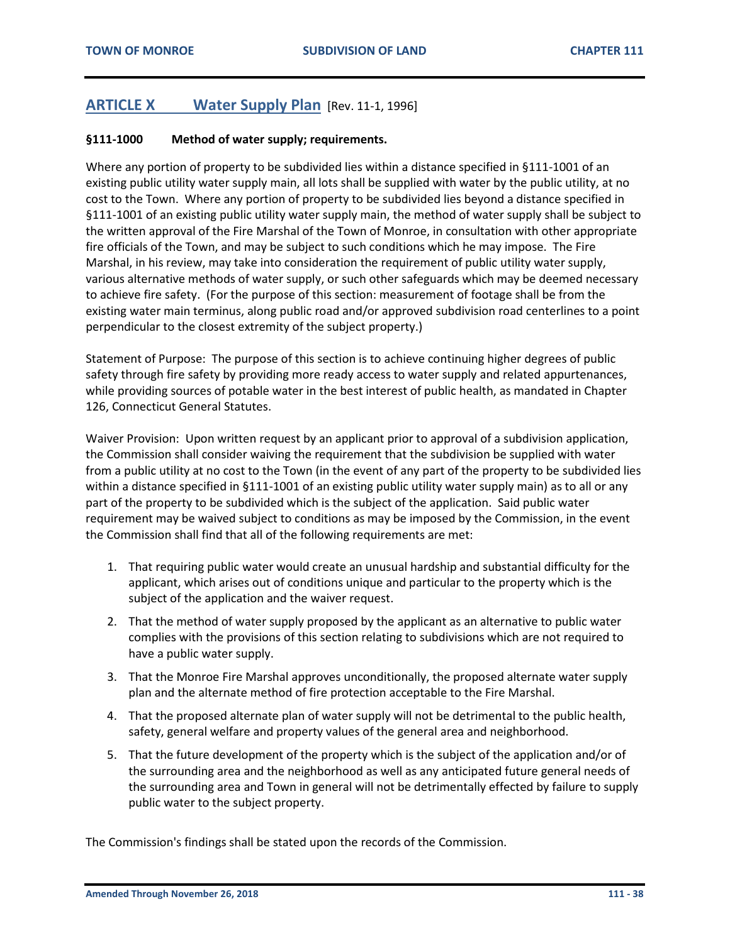## <span id="page-37-0"></span>**ARTICLE X Water Supply Plan** [Rev. 11-1, 1996]

#### <span id="page-37-1"></span>**§111-1000 Method of water supply; requirements.**

Where any portion of property to be subdivided lies within a distance specified in §111-1001 of an existing public utility water supply main, all lots shall be supplied with water by the public utility, at no cost to the Town. Where any portion of property to be subdivided lies beyond a distance specified in §111-1001 of an existing public utility water supply main, the method of water supply shall be subject to the written approval of the Fire Marshal of the Town of Monroe, in consultation with other appropriate fire officials of the Town, and may be subject to such conditions which he may impose. The Fire Marshal, in his review, may take into consideration the requirement of public utility water supply, various alternative methods of water supply, or such other safeguards which may be deemed necessary to achieve fire safety. (For the purpose of this section: measurement of footage shall be from the existing water main terminus, along public road and/or approved subdivision road centerlines to a point perpendicular to the closest extremity of the subject property.)

Statement of Purpose: The purpose of this section is to achieve continuing higher degrees of public safety through fire safety by providing more ready access to water supply and related appurtenances, while providing sources of potable water in the best interest of public health, as mandated in Chapter 126, Connecticut General Statutes.

Waiver Provision: Upon written request by an applicant prior to approval of a subdivision application, the Commission shall consider waiving the requirement that the subdivision be supplied with water from a public utility at no cost to the Town (in the event of any part of the property to be subdivided lies within a distance specified in §111-1001 of an existing public utility water supply main) as to all or any part of the property to be subdivided which is the subject of the application. Said public water requirement may be waived subject to conditions as may be imposed by the Commission, in the event the Commission shall find that all of the following requirements are met:

- 1. That requiring public water would create an unusual hardship and substantial difficulty for the applicant, which arises out of conditions unique and particular to the property which is the subject of the application and the waiver request.
- 2. That the method of water supply proposed by the applicant as an alternative to public water complies with the provisions of this section relating to subdivisions which are not required to have a public water supply.
- 3. That the Monroe Fire Marshal approves unconditionally, the proposed alternate water supply plan and the alternate method of fire protection acceptable to the Fire Marshal.
- 4. That the proposed alternate plan of water supply will not be detrimental to the public health, safety, general welfare and property values of the general area and neighborhood.
- 5. That the future development of the property which is the subject of the application and/or of the surrounding area and the neighborhood as well as any anticipated future general needs of the surrounding area and Town in general will not be detrimentally effected by failure to supply public water to the subject property.

The Commission's findings shall be stated upon the records of the Commission.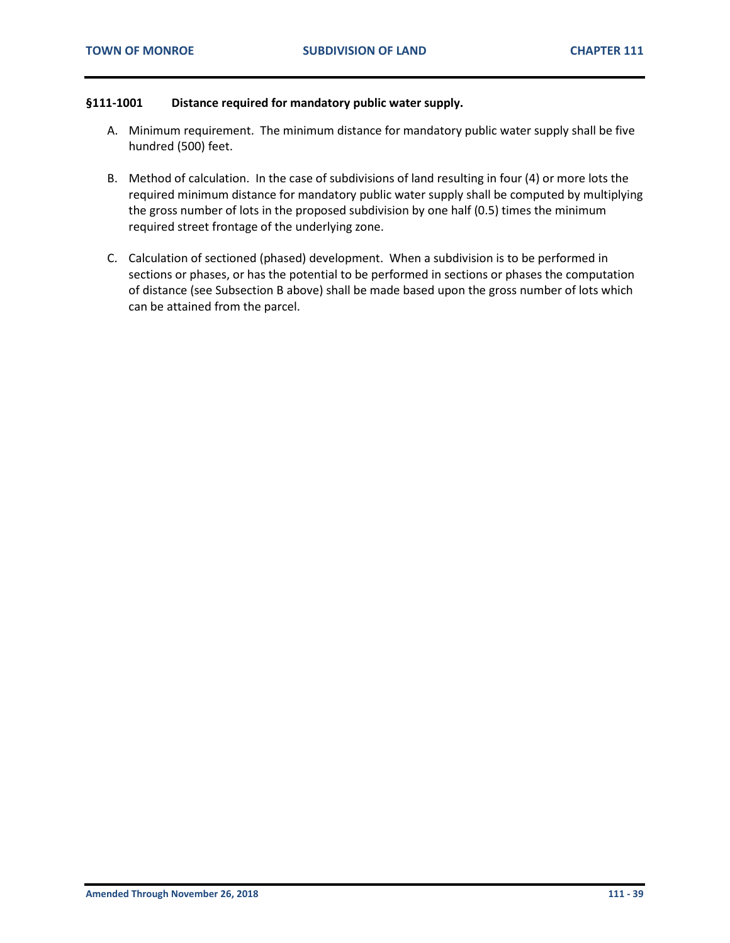#### <span id="page-38-0"></span>**§111-1001 Distance required for mandatory public water supply.**

- A. Minimum requirement. The minimum distance for mandatory public water supply shall be five hundred (500) feet.
- B. Method of calculation. In the case of subdivisions of land resulting in four (4) or more lots the required minimum distance for mandatory public water supply shall be computed by multiplying the gross number of lots in the proposed subdivision by one half (0.5) times the minimum required street frontage of the underlying zone.
- C. Calculation of sectioned (phased) development. When a subdivision is to be performed in sections or phases, or has the potential to be performed in sections or phases the computation of distance (see Subsection B above) shall be made based upon the gross number of lots which can be attained from the parcel.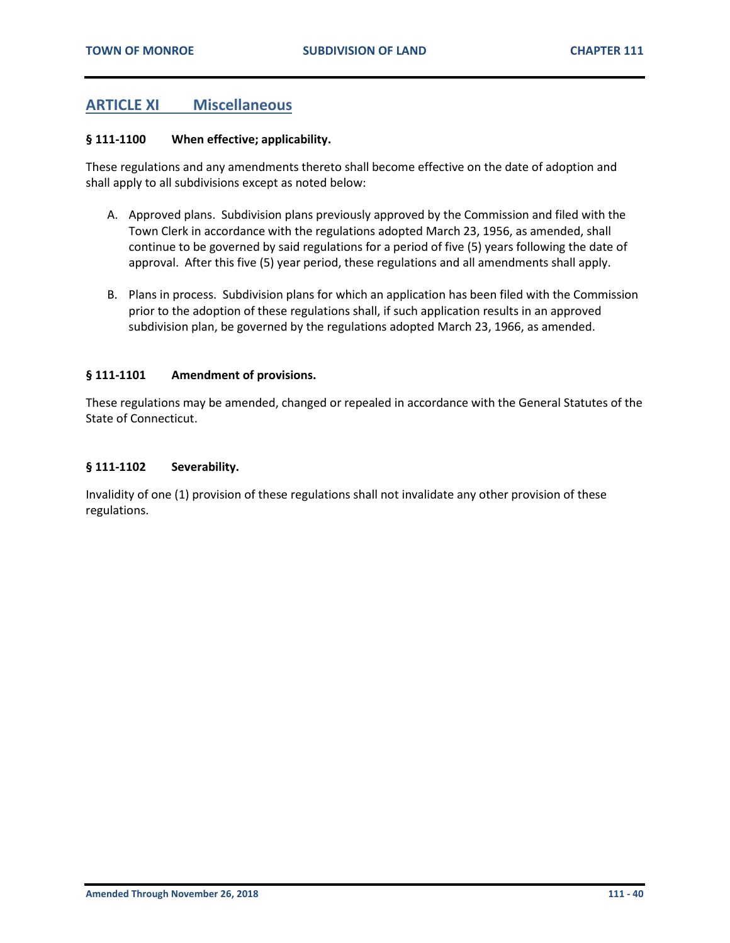## <span id="page-39-0"></span>**ARTICLE XI Miscellaneous**

#### <span id="page-39-1"></span>**§ 111-1100 When effective; applicability.**

These regulations and any amendments thereto shall become effective on the date of adoption and shall apply to all subdivisions except as noted below:

- A. Approved plans. Subdivision plans previously approved by the Commission and filed with the Town Clerk in accordance with the regulations adopted March 23, 1956, as amended, shall continue to be governed by said regulations for a period of five (5) years following the date of approval. After this five (5) year period, these regulations and all amendments shall apply.
- B. Plans in process. Subdivision plans for which an application has been filed with the Commission prior to the adoption of these regulations shall, if such application results in an approved subdivision plan, be governed by the regulations adopted March 23, 1966, as amended.

#### <span id="page-39-2"></span>**§ 111-1101 Amendment of provisions.**

These regulations may be amended, changed or repealed in accordance with the General Statutes of the State of Connecticut.

#### <span id="page-39-3"></span>**§ 111-1102 Severability.**

Invalidity of one (1) provision of these regulations shall not invalidate any other provision of these regulations.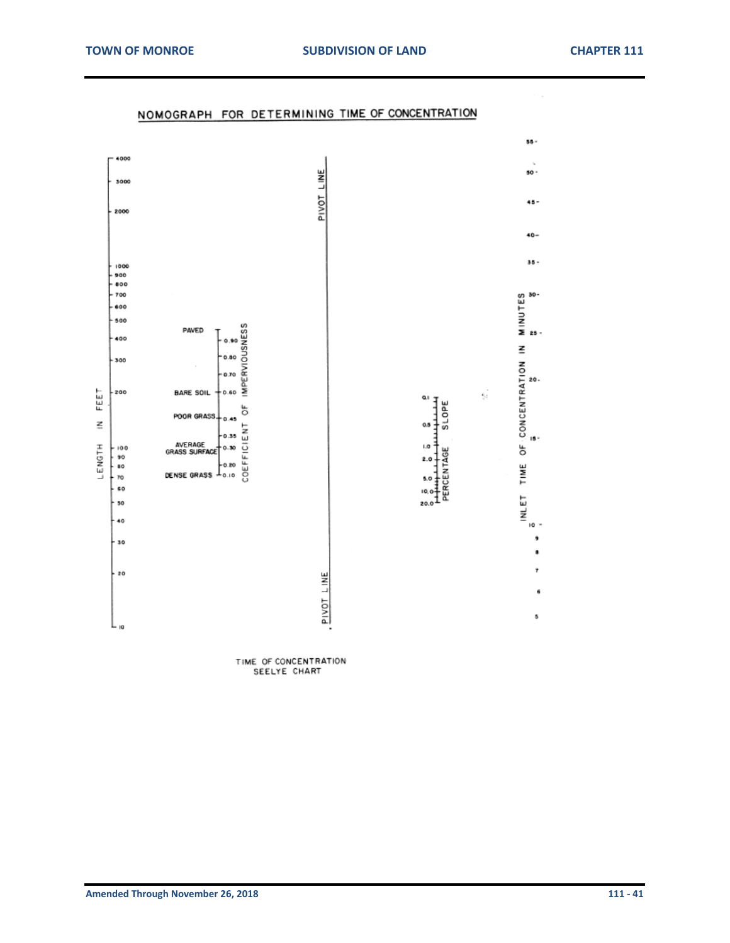

### NOMOGRAPH FOR DETERMINING TIME OF CONCENTRATION

TIME OF CONCENTRATION SEELYE CHART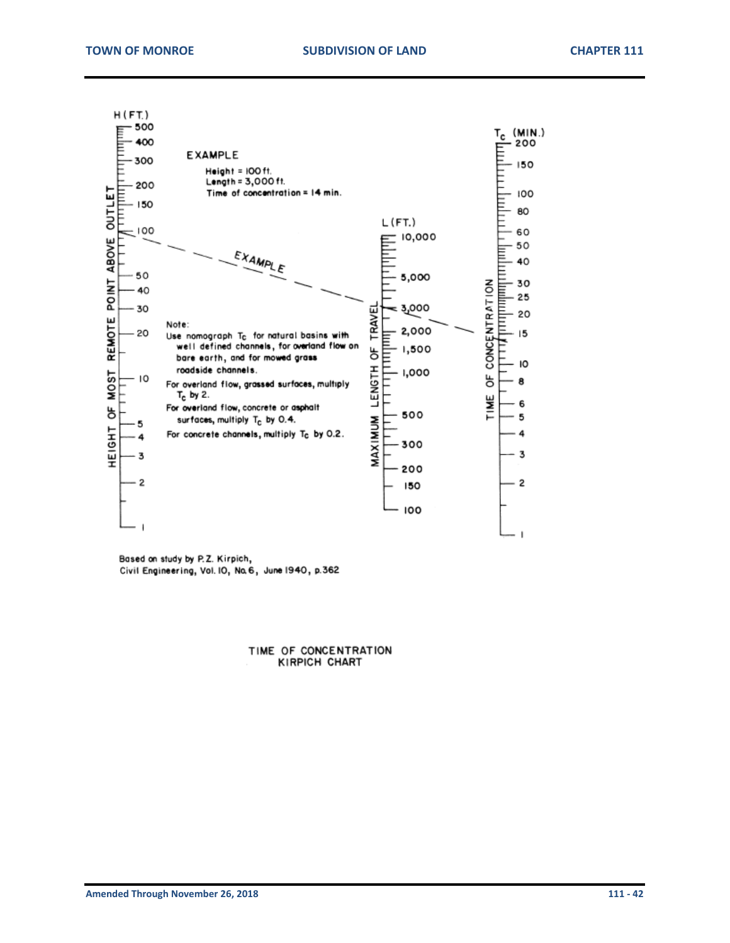

Based on study by P.Z. Kirpich, Civil Engineering, Vol. IO, No. 6, June 1940, p.362

> TIME OF CONCENTRATION KIRPICH CHART